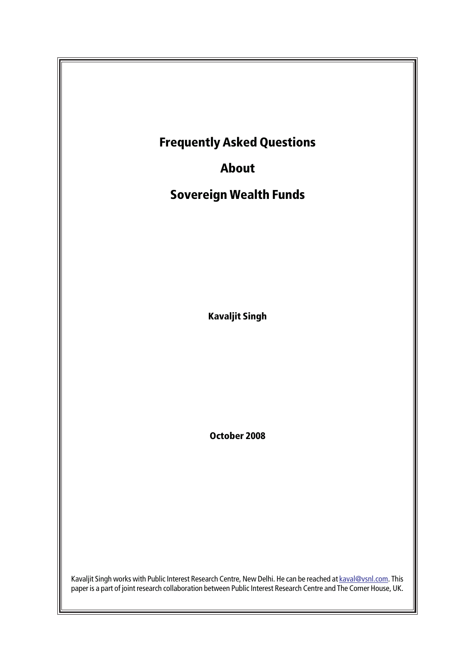

paper is a part of joint research collaboration between Public Interest Research Centre and The Corner House, UK.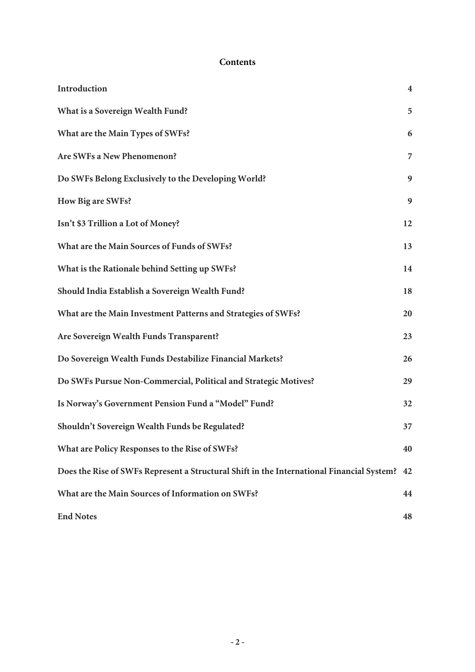#### **Contents**

| Introduction                                                                              | $\boldsymbol{4}$ |
|-------------------------------------------------------------------------------------------|------------------|
| What is a Sovereign Wealth Fund?                                                          | 5                |
| What are the Main Types of SWFs?                                                          | 6                |
| Are SWFs a New Phenomenon?                                                                | 7                |
| Do SWFs Belong Exclusively to the Developing World?                                       | 9                |
| How Big are SWFs?                                                                         | 9                |
| Isn't \$3 Trillion a Lot of Money?                                                        | 12               |
| What are the Main Sources of Funds of SWFs?                                               | 13               |
| What is the Rationale behind Setting up SWFs?                                             | 14               |
| Should India Establish a Sovereign Wealth Fund?                                           | 18               |
| What are the Main Investment Patterns and Strategies of SWFs?                             | 20               |
| Are Sovereign Wealth Funds Transparent?                                                   | 23               |
| Do Sovereign Wealth Funds Destabilize Financial Markets?                                  | 26               |
| Do SWFs Pursue Non-Commercial, Political and Strategic Motives?                           | 29               |
| Is Norway's Government Pension Fund a "Model" Fund?                                       | 32               |
| Shouldn't Sovereign Wealth Funds be Regulated?                                            | 37               |
| What are Policy Responses to the Rise of SWFs?                                            | 40               |
| Does the Rise of SWFs Represent a Structural Shift in the International Financial System? | 42               |
| What are the Main Sources of Information on SWFs?                                         | 44               |
| <b>End Notes</b>                                                                          | 48               |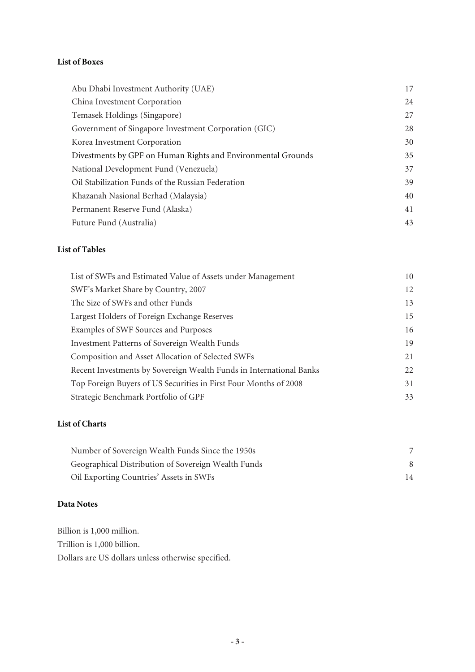#### **List of Boxes**

| Abu Dhabi Investment Authority (UAE)                         | 17 |
|--------------------------------------------------------------|----|
| China Investment Corporation                                 | 24 |
| Temasek Holdings (Singapore)                                 | 27 |
| Government of Singapore Investment Corporation (GIC)         | 28 |
| Korea Investment Corporation                                 | 30 |
| Divestments by GPF on Human Rights and Environmental Grounds | 35 |
| National Development Fund (Venezuela)                        | 37 |
| Oil Stabilization Funds of the Russian Federation            | 39 |
| Khazanah Nasional Berhad (Malaysia)                          | 40 |
| Permanent Reserve Fund (Alaska)                              | 41 |
| Future Fund (Australia)                                      | 43 |

### **List of Tables**

| List of SWFs and Estimated Value of Assets under Management         | 10 |
|---------------------------------------------------------------------|----|
| SWF's Market Share by Country, 2007                                 | 12 |
| The Size of SWFs and other Funds                                    | 13 |
| Largest Holders of Foreign Exchange Reserves                        | 15 |
| Examples of SWF Sources and Purposes                                | 16 |
| Investment Patterns of Sovereign Wealth Funds                       | 19 |
| Composition and Asset Allocation of Selected SWFs                   | 21 |
| Recent Investments by Sovereign Wealth Funds in International Banks | 22 |
| Top Foreign Buyers of US Securities in First Four Months of 2008    | 31 |
| Strategic Benchmark Portfolio of GPF                                | 33 |

### **List of Charts**

| Number of Sovereign Wealth Funds Since the 1950s    |    |
|-----------------------------------------------------|----|
| Geographical Distribution of Sovereign Wealth Funds |    |
| Oil Exporting Countries' Assets in SWFs             | 14 |

### **Data Notes**

Billion is 1,000 million. Trillion is 1,000 billion. Dollars are US dollars unless otherwise specified.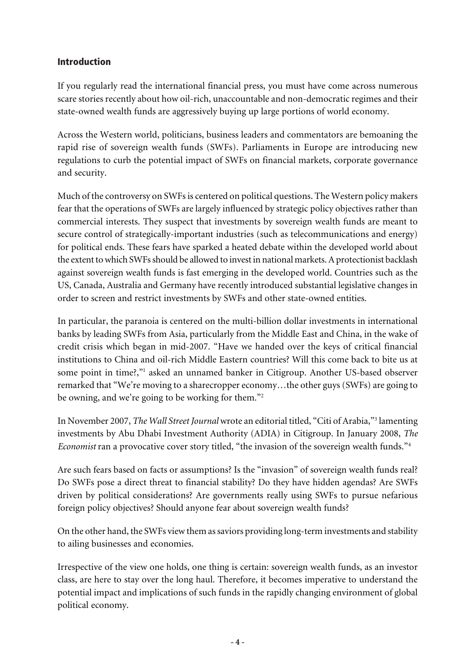### Introduction

If you regularly read the international financial press, you must have come across numerous scare stories recently about how oil-rich, unaccountable and non-democratic regimes and their state-owned wealth funds are aggressively buying up large portions of world economy.

Across the Western world, politicians, business leaders and commentators are bemoaning the rapid rise of sovereign wealth funds (SWFs). Parliaments in Europe are introducing new regulations to curb the potential impact of SWFs on financial markets, corporate governance and security.

Much of the controversy on SWFs is centered on political questions. The Western policy makers fear that the operations of SWFs are largely influenced by strategic policy objectives rather than commercial interests. They suspect that investments by sovereign wealth funds are meant to secure control of strategically-important industries (such as telecommunications and energy) for political ends. These fears have sparked a heated debate within the developed world about the extent to which SWFs should be allowed to invest in national markets. A protectionist backlash against sovereign wealth funds is fast emerging in the developed world. Countries such as the US, Canada, Australia and Germany have recently introduced substantial legislative changes in order to screen and restrict investments by SWFs and other state-owned entities.

In particular, the paranoia is centered on the multi-billion dollar investments in international banks by leading SWFs from Asia, particularly from the Middle East and China, in the wake of credit crisis which began in mid-2007. "Have we handed over the keys of critical financial institutions to China and oil-rich Middle Eastern countries? Will this come back to bite us at some point in time?,"<sup>1</sup> asked an unnamed banker in Citigroup. Another US-based observer remarked that "We're moving to a sharecropper economy…the other guys (SWFs) are going to be owning, and we're going to be working for them."<sup>2</sup>

In November 2007, *The Wall Street Journal* wrote an editorial titled, "Citi of Arabia,"<sup>3</sup> lamenting investments by Abu Dhabi Investment Authority (ADIA) in Citigroup. In January 2008, *The Economist* ran a provocative cover story titled, "the invasion of the sovereign wealth funds."<sup>4</sup>

Are such fears based on facts or assumptions? Is the "invasion" of sovereign wealth funds real? Do SWFs pose a direct threat to financial stability? Do they have hidden agendas? Are SWFs driven by political considerations? Are governments really using SWFs to pursue nefarious foreign policy objectives? Should anyone fear about sovereign wealth funds?

On the other hand, the SWFs view them as saviors providing long-term investments and stability to ailing businesses and economies.

Irrespective of the view one holds, one thing is certain: sovereign wealth funds, as an investor class, are here to stay over the long haul. Therefore, it becomes imperative to understand the potential impact and implications of such funds in the rapidly changing environment of global political economy.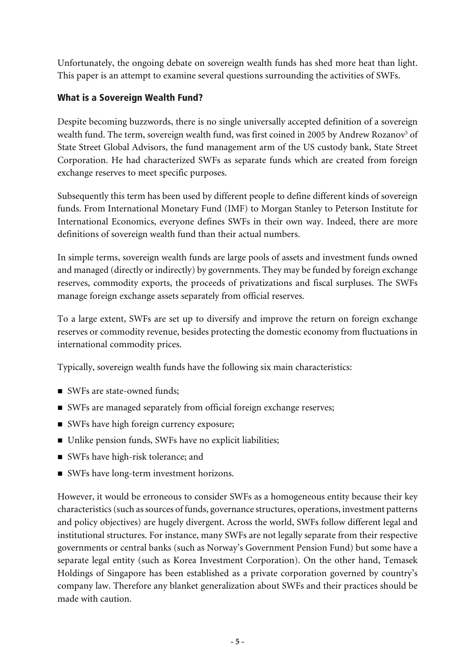Unfortunately, the ongoing debate on sovereign wealth funds has shed more heat than light. This paper is an attempt to examine several questions surrounding the activities of SWFs.

### What is a Sovereign Wealth Fund?

Despite becoming buzzwords, there is no single universally accepted definition of a sovereign wealth fund. The term, sovereign wealth fund, was first coined in 2005 by Andrew Rozanov $^5$  of State Street Global Advisors, the fund management arm of the US custody bank, State Street Corporation. He had characterized SWFs as separate funds which are created from foreign exchange reserves to meet specific purposes.

Subsequently this term has been used by different people to define different kinds of sovereign funds. From International Monetary Fund (IMF) to Morgan Stanley to Peterson Institute for International Economics, everyone defines SWFs in their own way. Indeed, there are more definitions of sovereign wealth fund than their actual numbers.

In simple terms, sovereign wealth funds are large pools of assets and investment funds owned and managed (directly or indirectly) by governments. They may be funded by foreign exchange reserves, commodity exports, the proceeds of privatizations and fiscal surpluses. The SWFs manage foreign exchange assets separately from official reserves.

To a large extent, SWFs are set up to diversify and improve the return on foreign exchange reserves or commodity revenue, besides protecting the domestic economy from fluctuations in international commodity prices.

Typically, sovereign wealth funds have the following six main characteristics:

- SWFs are state-owned funds;
- n SWFs are managed separately from official foreign exchange reserves;
- SWFs have high foreign currency exposure;
- Unlike pension funds, SWFs have no explicit liabilities;
- SWFs have high-risk tolerance; and
- SWFs have long-term investment horizons.

However, it would be erroneous to consider SWFs as a homogeneous entity because their key characteristics (such as sources of funds, governance structures, operations, investment patterns and policy objectives) are hugely divergent. Across the world, SWFs follow different legal and institutional structures. For instance, many SWFs are not legally separate from their respective governments or central banks (such as Norway's Government Pension Fund) but some have a separate legal entity (such as Korea Investment Corporation). On the other hand, Temasek Holdings of Singapore has been established as a private corporation governed by country's company law. Therefore any blanket generalization about SWFs and their practices should be made with caution.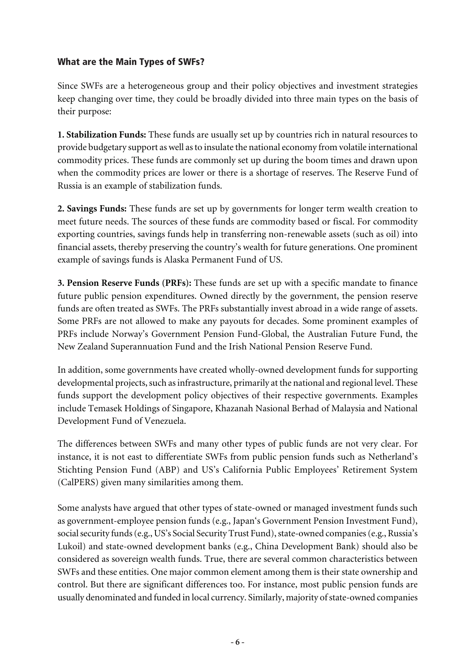### What are the Main Types of SWFs?

Since SWFs are a heterogeneous group and their policy objectives and investment strategies keep changing over time, they could be broadly divided into three main types on the basis of their purpose:

**1. Stabilization Funds:** These funds are usually set up by countries rich in natural resources to provide budgetary support as well as to insulate the national economy from volatile international commodity prices. These funds are commonly set up during the boom times and drawn upon when the commodity prices are lower or there is a shortage of reserves. The Reserve Fund of Russia is an example of stabilization funds.

**2. Savings Funds:** These funds are set up by governments for longer term wealth creation to meet future needs. The sources of these funds are commodity based or fiscal. For commodity exporting countries, savings funds help in transferring non-renewable assets (such as oil) into financial assets, thereby preserving the country's wealth for future generations. One prominent example of savings funds is Alaska Permanent Fund of US.

**3. Pension Reserve Funds (PRFs):** These funds are set up with a specific mandate to finance future public pension expenditures. Owned directly by the government, the pension reserve funds are often treated as SWFs. The PRFs substantially invest abroad in a wide range of assets. Some PRFs are not allowed to make any payouts for decades. Some prominent examples of PRFs include Norway's Government Pension Fund-Global, the Australian Future Fund, the New Zealand Superannuation Fund and the Irish National Pension Reserve Fund.

In addition, some governments have created wholly-owned development funds for supporting developmental projects, such as infrastructure, primarily at the national and regional level. These funds support the development policy objectives of their respective governments. Examples include Temasek Holdings of Singapore, Khazanah Nasional Berhad of Malaysia and National Development Fund of Venezuela.

The differences between SWFs and many other types of public funds are not very clear. For instance, it is not east to differentiate SWFs from public pension funds such as Netherland's Stichting Pension Fund (ABP) and US's California Public Employees' Retirement System (CalPERS) given many similarities among them.

Some analysts have argued that other types of state-owned or managed investment funds such as government-employee pension funds (e.g., Japan's Government Pension Investment Fund), social security funds (e.g., US's Social Security Trust Fund), state-owned companies (e.g., Russia's Lukoil) and state-owned development banks (e.g., China Development Bank) should also be considered as sovereign wealth funds. True, there are several common characteristics between SWFs and these entities. One major common element among them is their state ownership and control. But there are significant differences too. For instance, most public pension funds are usually denominated and funded in local currency. Similarly, majority of state-owned companies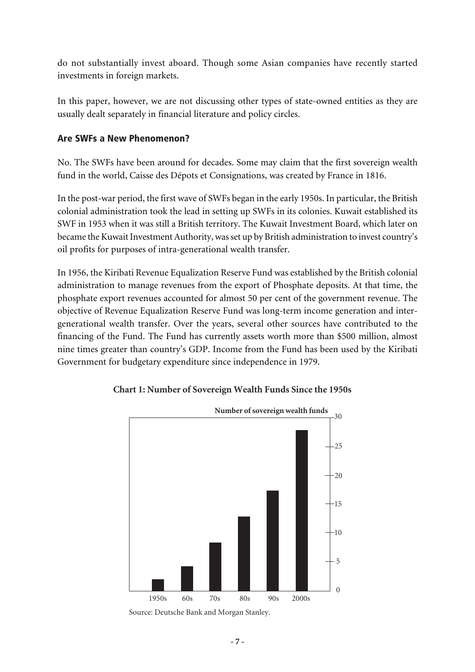do not substantially invest aboard. Though some Asian companies have recently started investments in foreign markets.

In this paper, however, we are not discussing other types of state-owned entities as they are usually dealt separately in financial literature and policy circles.

### Are SWFs a New Phenomenon?

No. The SWFs have been around for decades. Some may claim that the first sovereign wealth fund in the world, Caisse des Dépots et Consignations, was created by France in 1816.

In the post-war period, the first wave of SWFs began in the early 1950s. In particular, the British colonial administration took the lead in setting up SWFs in its colonies. Kuwait established its SWF in 1953 when it was still a British territory. The Kuwait Investment Board, which later on became the Kuwait Investment Authority, was set up by British administration to invest country's oil profits for purposes of intra-generational wealth transfer.

In 1956, the Kiribati Revenue Equalization Reserve Fund was established by the British colonial administration to manage revenues from the export of Phosphate deposits. At that time, the phosphate export revenues accounted for almost 50 per cent of the government revenue. The objective of Revenue Equalization Reserve Fund was long-term income generation and intergenerational wealth transfer. Over the years, several other sources have contributed to the financing of the Fund. The Fund has currently assets worth more than \$500 million, almost nine times greater than country's GDP. Income from the Fund has been used by the Kiribati Government for budgetary expenditure since independence in 1979.



#### **Chart 1: Number of Sovereign Wealth Funds Since the 1950s**

Source: Deutsche Bank and Morgan Stanley.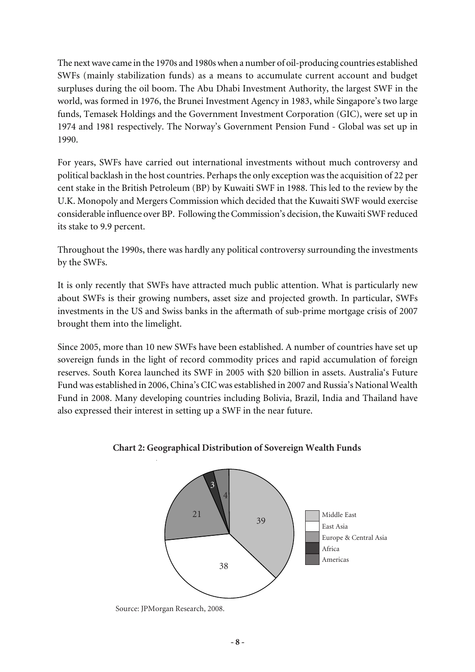The next wave came in the 1970s and 1980s when a number of oil-producing countries established SWFs (mainly stabilization funds) as a means to accumulate current account and budget surpluses during the oil boom. The Abu Dhabi Investment Authority, the largest SWF in the world, was formed in 1976, the Brunei Investment Agency in 1983, while Singapore's two large funds, Temasek Holdings and the Government Investment Corporation (GIC), were set up in 1974 and 1981 respectively. The Norway's Government Pension Fund - Global was set up in 1990.

For years, SWFs have carried out international investments without much controversy and political backlash in the host countries. Perhaps the only exception was the acquisition of 22 per cent stake in the British Petroleum (BP) by Kuwaiti SWF in 1988. This led to the review by the U.K. Monopoly and Mergers Commission which decided that the Kuwaiti SWF would exercise considerable influence over BP. Following the Commission's decision, the Kuwaiti SWF reduced its stake to 9.9 percent.

Throughout the 1990s, there was hardly any political controversy surrounding the investments by the SWFs.

It is only recently that SWFs have attracted much public attention. What is particularly new about SWFs is their growing numbers, asset size and projected growth. In particular, SWFs investments in the US and Swiss banks in the aftermath of sub-prime mortgage crisis of 2007 brought them into the limelight.

Since 2005, more than 10 new SWFs have been established. A number of countries have set up sovereign funds in the light of record commodity prices and rapid accumulation of foreign reserves. South Korea launched its SWF in 2005 with \$20 billion in assets. Australia's Future Fund was established in 2006, China's CIC was established in 2007 and Russia's National Wealth Fund in 2008. Many developing countries including Bolivia, Brazil, India and Thailand have also expressed their interest in setting up a SWF in the near future.





Source: JPMorgan Research, 2008.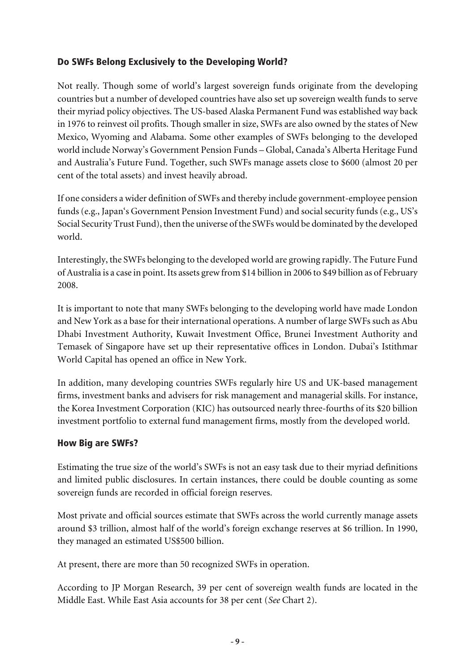### Do SWFs Belong Exclusively to the Developing World?

Not really. Though some of world's largest sovereign funds originate from the developing countries but a number of developed countries have also set up sovereign wealth funds to serve their myriad policy objectives. The US-based Alaska Permanent Fund was established way back in 1976 to reinvest oil profits. Though smaller in size, SWFs are also owned by the states of New Mexico, Wyoming and Alabama. Some other examples of SWFs belonging to the developed world include Norway's Government Pension Funds – Global, Canada's Alberta Heritage Fund and Australia's Future Fund. Together, such SWFs manage assets close to \$600 (almost 20 per cent of the total assets) and invest heavily abroad.

If one considers a wider definition of SWFs and thereby include government-employee pension funds (e.g., Japan's Government Pension Investment Fund) and social security funds (e.g., US's Social Security Trust Fund), then the universe of the SWFs would be dominated by the developed world.

Interestingly, the SWFs belonging to the developed world are growing rapidly. The Future Fund of Australia is a case in point. Its assets grew from \$14 billion in 2006 to \$49 billion as of February 2008.

It is important to note that many SWFs belonging to the developing world have made London and New York as a base for their international operations. A number of large SWFs such as Abu Dhabi Investment Authority, Kuwait Investment Office, Brunei Investment Authority and Temasek of Singapore have set up their representative offices in London. Dubai's Istithmar World Capital has opened an office in New York.

In addition, many developing countries SWFs regularly hire US and UK-based management firms, investment banks and advisers for risk management and managerial skills. For instance, the Korea Investment Corporation (KIC) has outsourced nearly three-fourths of its \$20 billion investment portfolio to external fund management firms, mostly from the developed world.

### How Big are SWFs?

Estimating the true size of the world's SWFs is not an easy task due to their myriad definitions and limited public disclosures. In certain instances, there could be double counting as some sovereign funds are recorded in official foreign reserves.

Most private and official sources estimate that SWFs across the world currently manage assets around \$3 trillion, almost half of the world's foreign exchange reserves at \$6 trillion. In 1990, they managed an estimated US\$500 billion.

At present, there are more than 50 recognized SWFs in operation.

According to JP Morgan Research, 39 per cent of sovereign wealth funds are located in the Middle East. While East Asia accounts for 38 per cent (*See* Chart 2).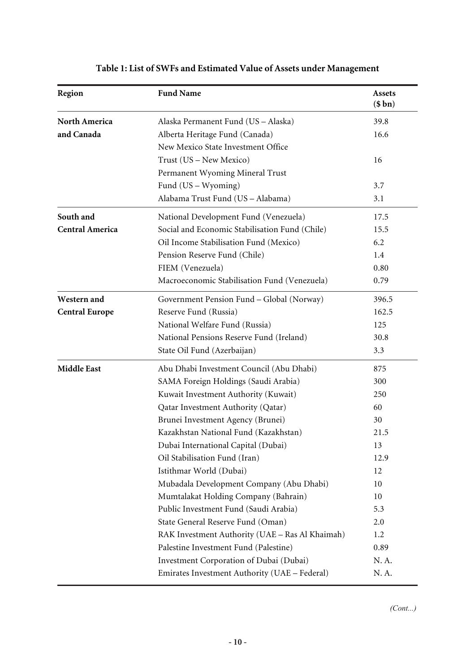| Region                 | <b>Fund Name</b>                                | <b>Assets</b><br>(\$bn) |
|------------------------|-------------------------------------------------|-------------------------|
| <b>North America</b>   | Alaska Permanent Fund (US - Alaska)             | 39.8                    |
| and Canada             | Alberta Heritage Fund (Canada)                  | 16.6                    |
|                        | New Mexico State Investment Office              |                         |
|                        | Trust (US - New Mexico)                         | 16                      |
|                        | Permanent Wyoming Mineral Trust                 |                         |
|                        | Fund (US – Wyoming)                             | 3.7                     |
|                        | Alabama Trust Fund (US - Alabama)               | 3.1                     |
| South and              | National Development Fund (Venezuela)           | 17.5                    |
| <b>Central America</b> | Social and Economic Stabilisation Fund (Chile)  | 15.5                    |
|                        | Oil Income Stabilisation Fund (Mexico)          | 6.2                     |
|                        | Pension Reserve Fund (Chile)                    | 1.4                     |
|                        | FIEM (Venezuela)                                | 0.80                    |
|                        | Macroeconomic Stabilisation Fund (Venezuela)    | 0.79                    |
| Western and            | Government Pension Fund - Global (Norway)       | 396.5                   |
| <b>Central Europe</b>  | Reserve Fund (Russia)                           | 162.5                   |
|                        | National Welfare Fund (Russia)                  | 125                     |
|                        | National Pensions Reserve Fund (Ireland)        | 30.8                    |
|                        | State Oil Fund (Azerbaijan)                     | 3.3                     |
| <b>Middle East</b>     | Abu Dhabi Investment Council (Abu Dhabi)        | 875                     |
|                        | SAMA Foreign Holdings (Saudi Arabia)            | 300                     |
|                        | Kuwait Investment Authority (Kuwait)            | 250                     |
|                        | Qatar Investment Authority (Qatar)              | 60                      |
|                        | Brunei Investment Agency (Brunei)               | 30                      |
|                        | Kazakhstan National Fund (Kazakhstan)           | 21.5                    |
|                        | Dubai International Capital (Dubai)             | 13                      |
|                        | Oil Stabilisation Fund (Iran)                   | 12.9                    |
|                        | Istithmar World (Dubai)                         | 12                      |
|                        | Mubadala Development Company (Abu Dhabi)        | 10                      |
|                        | Mumtalakat Holding Company (Bahrain)            | 10                      |
|                        | Public Investment Fund (Saudi Arabia)           | 5.3                     |
|                        | State General Reserve Fund (Oman)               | 2.0                     |
|                        | RAK Investment Authority (UAE - Ras Al Khaimah) | 1.2                     |
|                        | Palestine Investment Fund (Palestine)           | 0.89                    |
|                        | Investment Corporation of Dubai (Dubai)         | N.A.                    |
|                        | Emirates Investment Authority (UAE - Federal)   | N. A.                   |

# **Table 1: List of SWFs and Estimated Value of Assets under Management**

(Cont...)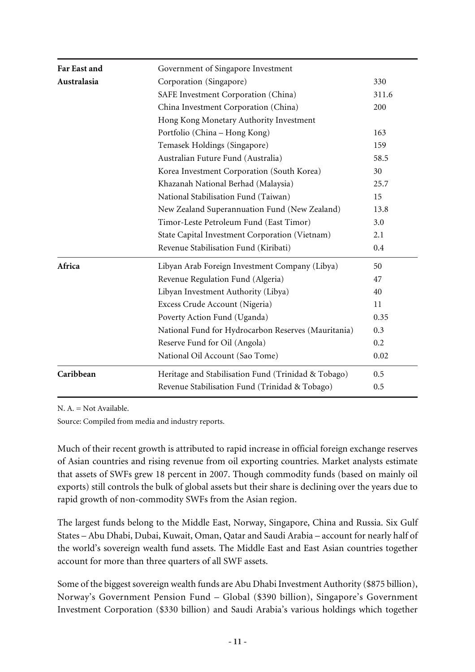| Far East and | Government of Singapore Investment                  |       |
|--------------|-----------------------------------------------------|-------|
| Australasia  | Corporation (Singapore)                             | 330   |
|              | SAFE Investment Corporation (China)                 | 311.6 |
|              | China Investment Corporation (China)                | 200   |
|              | Hong Kong Monetary Authority Investment             |       |
|              | Portfolio (China - Hong Kong)                       | 163   |
|              | Temasek Holdings (Singapore)                        | 159   |
|              | Australian Future Fund (Australia)                  | 58.5  |
|              | Korea Investment Corporation (South Korea)          | 30    |
|              | Khazanah National Berhad (Malaysia)                 | 25.7  |
|              | National Stabilisation Fund (Taiwan)                | 15    |
|              | New Zealand Superannuation Fund (New Zealand)       | 13.8  |
|              | Timor-Leste Petroleum Fund (East Timor)             | 3.0   |
|              | State Capital Investment Corporation (Vietnam)      | 2.1   |
|              | Revenue Stabilisation Fund (Kiribati)               | 0.4   |
| Africa       | Libyan Arab Foreign Investment Company (Libya)      | 50    |
|              | Revenue Regulation Fund (Algeria)                   | 47    |
|              | Libyan Investment Authority (Libya)                 | 40    |
|              | Excess Crude Account (Nigeria)                      | 11    |
|              | Poverty Action Fund (Uganda)                        | 0.35  |
|              | National Fund for Hydrocarbon Reserves (Mauritania) | 0.3   |
|              | Reserve Fund for Oil (Angola)                       | 0.2   |
|              | National Oil Account (Sao Tome)                     | 0.02  |
| Caribbean    | Heritage and Stabilisation Fund (Trinidad & Tobago) | 0.5   |
|              | Revenue Stabilisation Fund (Trinidad & Tobago)      | 0.5   |

N. A. = Not Available.

Source: Compiled from media and industry reports.

Much of their recent growth is attributed to rapid increase in official foreign exchange reserves of Asian countries and rising revenue from oil exporting countries. Market analysts estimate that assets of SWFs grew 18 percent in 2007. Though commodity funds (based on mainly oil exports) still controls the bulk of global assets but their share is declining over the years due to rapid growth of non-commodity SWFs from the Asian region.

The largest funds belong to the Middle East, Norway, Singapore, China and Russia. Six Gulf States – Abu Dhabi, Dubai, Kuwait, Oman, Qatar and Saudi Arabia – account for nearly half of the world's sovereign wealth fund assets. The Middle East and East Asian countries together account for more than three quarters of all SWF assets.

Some of the biggest sovereign wealth funds are Abu Dhabi Investment Authority (\$875 billion), Norway's Government Pension Fund – Global (\$390 billion), Singapore's Government Investment Corporation (\$330 billion) and Saudi Arabia's various holdings which together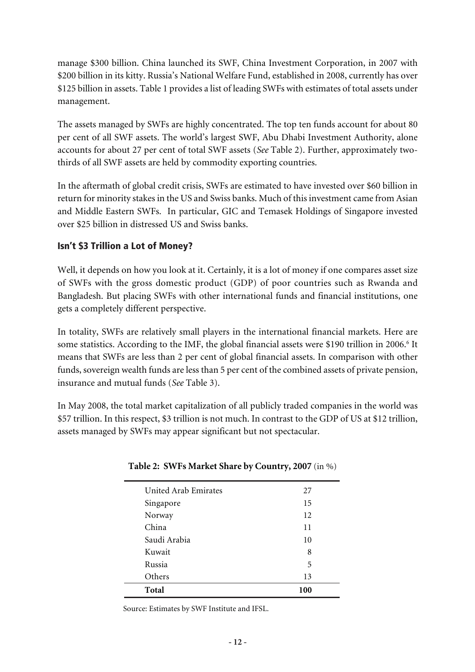manage \$300 billion. China launched its SWF, China Investment Corporation, in 2007 with \$200 billion in its kitty. Russia's National Welfare Fund, established in 2008, currently has over \$125 billion in assets. Table 1 provides a list of leading SWFs with estimates of total assets under management.

The assets managed by SWFs are highly concentrated. The top ten funds account for about 80 per cent of all SWF assets. The world's largest SWF, Abu Dhabi Investment Authority, alone accounts for about 27 per cent of total SWF assets (*See* Table 2). Further, approximately twothirds of all SWF assets are held by commodity exporting countries.

In the aftermath of global credit crisis, SWFs are estimated to have invested over \$60 billion in return for minority stakes in the US and Swiss banks. Much of this investment came from Asian and Middle Eastern SWFs. In particular, GIC and Temasek Holdings of Singapore invested over \$25 billion in distressed US and Swiss banks.

### Isn't \$3 Trillion a Lot of Money?

Well, it depends on how you look at it. Certainly, it is a lot of money if one compares asset size of SWFs with the gross domestic product (GDP) of poor countries such as Rwanda and Bangladesh. But placing SWFs with other international funds and financial institutions, one gets a completely different perspective.

In totality, SWFs are relatively small players in the international financial markets. Here are some statistics. According to the IMF, the global financial assets were \$190 trillion in 2006.<sup>6</sup> It means that SWFs are less than 2 per cent of global financial assets. In comparison with other funds, sovereign wealth funds are less than 5 per cent of the combined assets of private pension, insurance and mutual funds (*See* Table 3).

In May 2008, the total market capitalization of all publicly traded companies in the world was \$57 trillion. In this respect, \$3 trillion is not much. In contrast to the GDP of US at \$12 trillion, assets managed by SWFs may appear significant but not spectacular.

| United Arab Emirates | 27  |
|----------------------|-----|
| Singapore            | 15  |
| Norway               | 12  |
| China                | 11  |
| Saudi Arabia         | 10  |
| Kuwait               | 8   |
| Russia               | 5   |
| Others               | 13  |
| Total                | 100 |

### **Table 2: SWFs Market Share by Country, 2007** (in %)

Source: Estimates by SWF Institute and IFSL.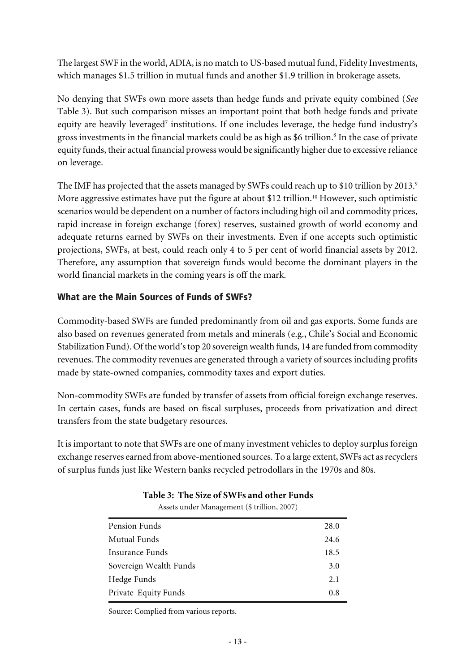The largest SWF in the world, ADIA, is no match to US-based mutual fund, Fidelity Investments, which manages \$1.5 trillion in mutual funds and another \$1.9 trillion in brokerage assets.

No denying that SWFs own more assets than hedge funds and private equity combined (*See* Table 3). But such comparison misses an important point that both hedge funds and private equity are heavily leveraged<sup>7</sup> institutions. If one includes leverage, the hedge fund industry's gross investments in the financial markets could be as high as \$6 trillion.<sup>8</sup> In the case of private equity funds, their actual financial prowess would be significantly higher due to excessive reliance on leverage.

The IMF has projected that the assets managed by SWFs could reach up to \$10 trillion by 2013.<sup>9</sup> More aggressive estimates have put the figure at about \$12 trillion.<sup>10</sup> However, such optimistic scenarios would be dependent on a number of factors including high oil and commodity prices, rapid increase in foreign exchange (forex) reserves, sustained growth of world economy and adequate returns earned by SWFs on their investments. Even if one accepts such optimistic projections, SWFs, at best, could reach only 4 to 5 per cent of world financial assets by 2012. Therefore, any assumption that sovereign funds would become the dominant players in the world financial markets in the coming years is off the mark.

### What are the Main Sources of Funds of SWFs?

Commodity-based SWFs are funded predominantly from oil and gas exports. Some funds are also based on revenues generated from metals and minerals (e.g., Chile's Social and Economic Stabilization Fund). Of the world's top 20 sovereign wealth funds, 14 are funded from commodity revenues. The commodity revenues are generated through a variety of sources including profits made by state-owned companies, commodity taxes and export duties.

Non-commodity SWFs are funded by transfer of assets from official foreign exchange reserves. In certain cases, funds are based on fiscal surpluses, proceeds from privatization and direct transfers from the state budgetary resources.

It is important to note that SWFs are one of many investment vehicles to deploy surplus foreign exchange reserves earned from above-mentioned sources. To a large extent, SWFs act as recyclers of surplus funds just like Western banks recycled petrodollars in the 1970s and 80s.

| Assets under Management (5 trillion, 2007) |      |  |
|--------------------------------------------|------|--|
| Pension Funds                              | 28.0 |  |
| Mutual Funds                               | 24.6 |  |
| Insurance Funds                            | 18.5 |  |
| Sovereign Wealth Funds                     | 3.0  |  |
| Hedge Funds                                | 2.1  |  |
| Private Equity Funds                       | 0.8  |  |

**Table 3: The Size of SWFs and other Funds**  $A$ ssets under  $A \sim M$ 

Source: Complied from various reports.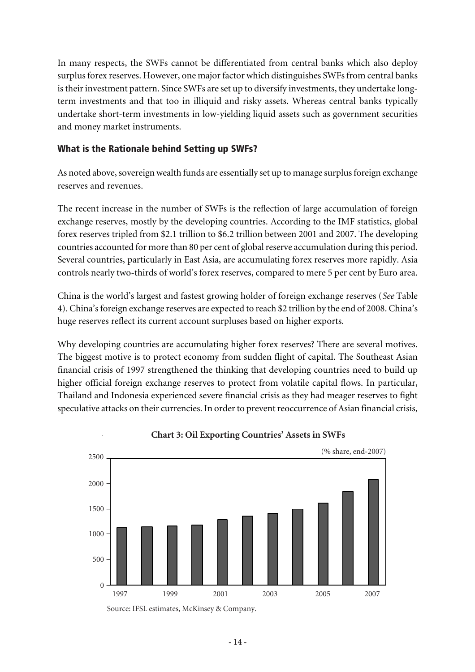In many respects, the SWFs cannot be differentiated from central banks which also deploy surplus forex reserves. However, one major factor which distinguishes SWFs from central banks is their investment pattern. Since SWFs are set up to diversify investments, they undertake longterm investments and that too in illiquid and risky assets. Whereas central banks typically undertake short-term investments in low-yielding liquid assets such as government securities and money market instruments.

### What is the Rationale behind Setting up SWFs?

As noted above, sovereign wealth funds are essentially set up to manage surplus foreign exchange reserves and revenues.

The recent increase in the number of SWFs is the reflection of large accumulation of foreign exchange reserves, mostly by the developing countries. According to the IMF statistics, global forex reserves tripled from \$2.1 trillion to \$6.2 trillion between 2001 and 2007. The developing countries accounted for more than 80 per cent of global reserve accumulation during this period. Several countries, particularly in East Asia, are accumulating forex reserves more rapidly. Asia controls nearly two-thirds of world's forex reserves, compared to mere 5 per cent by Euro area.

China is the world's largest and fastest growing holder of foreign exchange reserves (*See* Table 4). China's foreign exchange reserves are expected to reach \$2 trillion by the end of 2008. China's huge reserves reflect its current account surpluses based on higher exports.

Why developing countries are accumulating higher forex reserves? There are several motives. The biggest motive is to protect economy from sudden flight of capital. The Southeast Asian financial crisis of 1997 strengthened the thinking that developing countries need to build up higher official foreign exchange reserves to protect from volatile capital flows. In particular, Thailand and Indonesia experienced severe financial crisis as they had meager reserves to fight speculative attacks on their currencies. In order to prevent reoccurrence of Asian financial crisis,



**Chart 3: Oil Exporting Countries' Assets in SWFs**

Source: IFSL estimates, McKinsey & Company.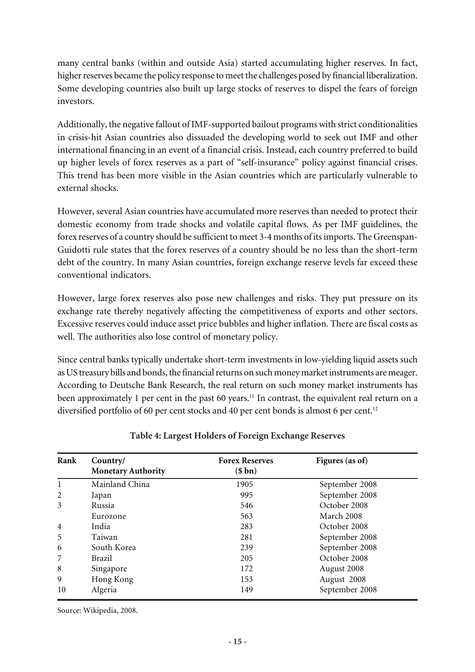many central banks (within and outside Asia) started accumulating higher reserves. In fact, higher reserves became the policy response to meet the challenges posed by financial liberalization. Some developing countries also built up large stocks of reserves to dispel the fears of foreign investors.

Additionally, the negative fallout of IMF-supported bailout programs with strict conditionalities in crisis-hit Asian countries also dissuaded the developing world to seek out IMF and other international financing in an event of a financial crisis. Instead, each country preferred to build up higher levels of forex reserves as a part of "self-insurance" policy against financial crises. This trend has been more visible in the Asian countries which are particularly vulnerable to external shocks.

However, several Asian countries have accumulated more reserves than needed to protect their domestic economy from trade shocks and volatile capital flows. As per IMF guidelines, the forex reserves of a country should be sufficient to meet 3-4 months of its imports. The Greenspan-Guidotti rule states that the forex reserves of a country should be no less than the short-term debt of the country. In many Asian countries, foreign exchange reserve levels far exceed these conventional indicators.

However, large forex reserves also pose new challenges and risks. They put pressure on its exchange rate thereby negatively affecting the competitiveness of exports and other sectors. Excessive reserves could induce asset price bubbles and higher inflation. There are fiscal costs as well. The authorities also lose control of monetary policy.

Since central banks typically undertake short-term investments in low-yielding liquid assets such as US treasury bills and bonds, the financial returns on such money market instruments are meager. According to Deutsche Bank Research, the real return on such money market instruments has been approximately 1 per cent in the past 60 years.<sup>11</sup> In contrast, the equivalent real return on a diversified portfolio of 60 per cent stocks and 40 per cent bonds is almost 6 per cent.<sup>12</sup>

| Rank           | Country/                  | <b>Forex Reserves</b> | Figures (as of) |
|----------------|---------------------------|-----------------------|-----------------|
|                | <b>Monetary Authority</b> | (\$bn)                |                 |
| 1              | Mainland China            | 1905                  | September 2008  |
| 2              | Japan                     | 995                   | September 2008  |
| 3              | Russia                    | 546                   | October 2008    |
|                | Eurozone                  | 563                   | March 2008      |
| $\overline{4}$ | India                     | 283                   | October 2008    |
| 5              | Taiwan                    | 281                   | September 2008  |
| 6              | South Korea               | 239                   | September 2008  |
| 7              | Brazil                    | 205                   | October 2008    |
| 8              | Singapore                 | 172                   | August 2008     |
| 9              | Hong Kong                 | 153                   | August 2008     |
| 10             | Algeria                   | 149                   | September 2008  |

### **Table 4: Largest Holders of Foreign Exchange Reserves**

Source: Wikipedia, 2008.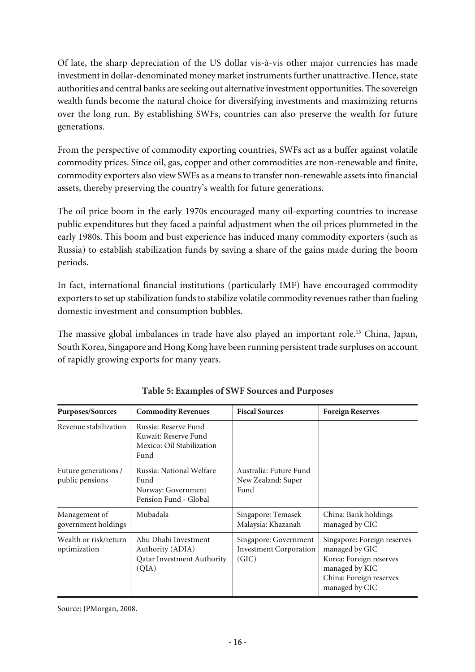Of late, the sharp depreciation of the US dollar vis-à-vis other major currencies has made investment in dollar-denominated money market instruments further unattractive. Hence, state authorities and central banks are seeking out alternative investment opportunities. The sovereign wealth funds become the natural choice for diversifying investments and maximizing returns over the long run. By establishing SWFs, countries can also preserve the wealth for future generations.

From the perspective of commodity exporting countries, SWFs act as a buffer against volatile commodity prices. Since oil, gas, copper and other commodities are non-renewable and finite, commodity exporters also view SWFs as a means to transfer non-renewable assets into financial assets, thereby preserving the country's wealth for future generations.

The oil price boom in the early 1970s encouraged many oil-exporting countries to increase public expenditures but they faced a painful adjustment when the oil prices plummeted in the early 1980s. This boom and bust experience has induced many commodity exporters (such as Russia) to establish stabilization funds by saving a share of the gains made during the boom periods.

In fact, international financial institutions (particularly IMF) have encouraged commodity exporters to set up stabilization funds to stabilize volatile commodity revenues rather than fueling domestic investment and consumption bubbles.

The massive global imbalances in trade have also played an important role.<sup>13</sup> China, Japan, South Korea, Singapore and Hong Kong have been running persistent trade surpluses on account of rapidly growing exports for many years.

| <b>Purposes/Sources</b>                 | <b>Commodity Revenues</b>                                                         | <b>Fiscal Sources</b>                                           | <b>Foreign Reserves</b>                                                                                                                 |
|-----------------------------------------|-----------------------------------------------------------------------------------|-----------------------------------------------------------------|-----------------------------------------------------------------------------------------------------------------------------------------|
| Revenue stabilization                   | Russia: Reserve Fund<br>Kuwait: Reserve Fund<br>Mexico: Oil Stabilization<br>Fund |                                                                 |                                                                                                                                         |
| Future generations /<br>public pensions | Russia: National Welfare<br>Fund<br>Norway: Government<br>Pension Fund - Global   | Australia: Future Fund<br>New Zealand: Super<br>Fund            |                                                                                                                                         |
| Management of<br>government holdings    | Mubadala                                                                          | Singapore: Temasek<br>Malaysia: Khazanah                        | China: Bank holdings<br>managed by CIC                                                                                                  |
| Wealth or risk/return<br>optimization   | Abu Dhabi Investment<br>Authority (ADIA)<br>Qatar Investment Authority<br>(QIA)   | Singapore: Government<br><b>Investment Corporation</b><br>(GIC) | Singapore: Foreign reserves<br>managed by GIC<br>Korea: Foreign reserves<br>managed by KIC<br>China: Foreign reserves<br>managed by CIC |

**Table 5: Examples of SWF Sources and Purposes**

Source: JPMorgan, 2008.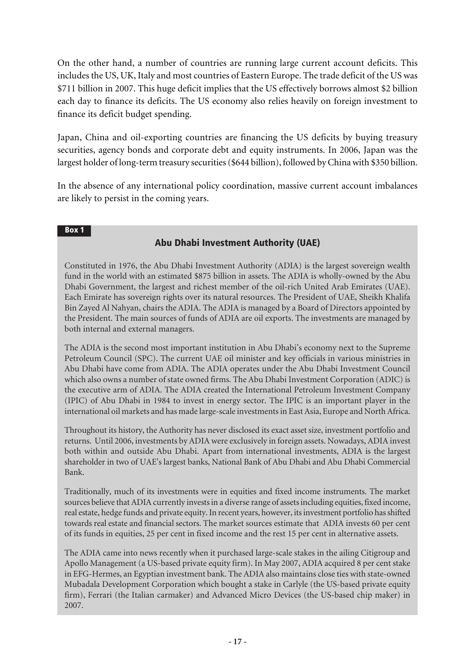On the other hand, a number of countries are running large current account deficits. This includes the US, UK, Italy and most countries of Eastern Europe. The trade deficit of the US was \$711 billion in 2007. This huge deficit implies that the US effectively borrows almost \$2 billion each day to finance its deficits. The US economy also relies heavily on foreign investment to finance its deficit budget spending.

Japan, China and oil-exporting countries are financing the US deficits by buying treasury securities, agency bonds and corporate debt and equity instruments. In 2006, Japan was the largest holder of long-term treasury securities (\$644 billion), followed by China with \$350 billion.

In the absence of any international policy coordination, massive current account imbalances are likely to persist in the coming years.

#### Box 1

### Abu Dhabi Investment Authority (UAE)

Constituted in 1976, the Abu Dhabi Investment Authority (ADIA) is the largest sovereign wealth fund in the world with an estimated \$875 billion in assets. The ADIA is wholly-owned by the Abu Dhabi Government, the largest and richest member of the oil-rich United Arab Emirates (UAE). Each Emirate has sovereign rights over its natural resources. The President of UAE, Sheikh Khalifa Bin Zayed Al Nahyan, chairs the ADIA. The ADIA is managed by a Board of Directors appointed by the President. The main sources of funds of ADIA are oil exports. The investments are managed by both internal and external managers.

The ADIA is the second most important institution in Abu Dhabi's economy next to the Supreme Petroleum Council (SPC). The current UAE oil minister and key officials in various ministries in Abu Dhabi have come from ADIA. The ADIA operates under the Abu Dhabi Investment Council which also owns a number of state owned firms. The Abu Dhabi Investment Corporation (ADIC) is the executive arm of ADIA. The ADIA created the International Petroleum Investment Company (IPIC) of Abu Dhabi in 1984 to invest in energy sector. The IPIC is an important player in the international oil markets and has made large-scale investments in East Asia, Europe and North Africa.

Throughout its history, the Authority has never disclosed its exact asset size, investment portfolio and returns. Until 2006, investments by ADIA were exclusively in foreign assets. Nowadays, ADIA invest both within and outside Abu Dhabi. Apart from international investments, ADIA is the largest shareholder in two of UAE's largest banks, National Bank of Abu Dhabi and Abu Dhabi Commercial Bank.

Traditionally, much of its investments were in equities and fixed income instruments. The market sources believe that ADIA currently invests in a diverse range of assets including equities, fixed income, real estate, hedge funds and private equity. In recent years, however, its investment portfolio has shifted towards real estate and financial sectors. The market sources estimate that ADIA invests 60 per cent of its funds in equities, 25 per cent in fixed income and the rest 15 per cent in alternative assets.

The ADIA came into news recently when it purchased large-scale stakes in the ailing Citigroup and Apollo Management (a US-based private equity firm). In May 2007, ADIA acquired 8 per cent stake in EFG-Hermes, an Egyptian investment bank. The ADIA also maintains close ties with state-owned Mubadala Development Corporation which bought a stake in Carlyle (the US-based private equity firm), Ferrari (the Italian carmaker) and Advanced Micro Devices (the US-based chip maker) in 2007.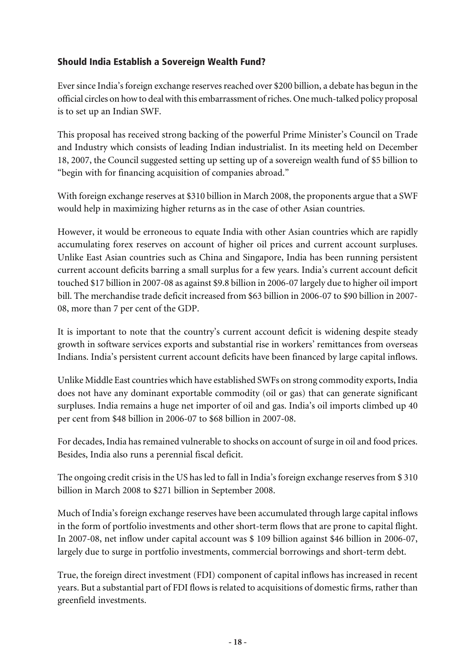# Should India Establish a Sovereign Wealth Fund?

Ever since India's foreign exchange reserves reached over \$200 billion, a debate has begun in the official circles on how to deal with this embarrassment of riches. One much-talked policy proposal is to set up an Indian SWF.

This proposal has received strong backing of the powerful Prime Minister's Council on Trade and Industry which consists of leading Indian industrialist. In its meeting held on December 18, 2007, the Council suggested setting up setting up of a sovereign wealth fund of \$5 billion to "begin with for financing acquisition of companies abroad."

With foreign exchange reserves at \$310 billion in March 2008, the proponents argue that a SWF would help in maximizing higher returns as in the case of other Asian countries.

However, it would be erroneous to equate India with other Asian countries which are rapidly accumulating forex reserves on account of higher oil prices and current account surpluses. Unlike East Asian countries such as China and Singapore, India has been running persistent current account deficits barring a small surplus for a few years. India's current account deficit touched \$17 billion in 2007-08 as against \$9.8 billion in 2006-07 largely due to higher oil import bill. The merchandise trade deficit increased from \$63 billion in 2006-07 to \$90 billion in 2007- 08, more than 7 per cent of the GDP.

It is important to note that the country's current account deficit is widening despite steady growth in software services exports and substantial rise in workers' remittances from overseas Indians. India's persistent current account deficits have been financed by large capital inflows.

Unlike Middle East countries which have established SWFs on strong commodity exports, India does not have any dominant exportable commodity (oil or gas) that can generate significant surpluses. India remains a huge net importer of oil and gas. India's oil imports climbed up 40 per cent from \$48 billion in 2006-07 to \$68 billion in 2007-08.

For decades, India has remained vulnerable to shocks on account of surge in oil and food prices. Besides, India also runs a perennial fiscal deficit.

The ongoing credit crisis in the US has led to fall in India's foreign exchange reserves from \$ 310 billion in March 2008 to \$271 billion in September 2008.

Much of India's foreign exchange reserves have been accumulated through large capital inflows in the form of portfolio investments and other short-term flows that are prone to capital flight. In 2007-08, net inflow under capital account was \$ 109 billion against \$46 billion in 2006-07, largely due to surge in portfolio investments, commercial borrowings and short-term debt.

True, the foreign direct investment (FDI) component of capital inflows has increased in recent years. But a substantial part of FDI flows is related to acquisitions of domestic firms, rather than greenfield investments.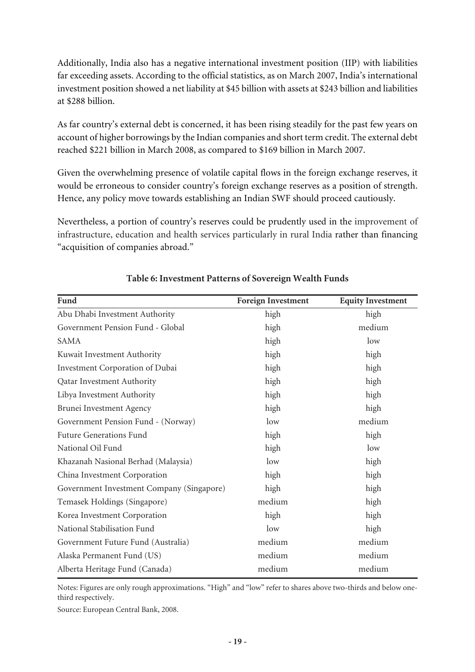Additionally, India also has a negative international investment position (IIP) with liabilities far exceeding assets. According to the official statistics, as on March 2007, India's international investment position showed a net liability at \$45 billion with assets at \$243 billion and liabilities at \$288 billion.

As far country's external debt is concerned, it has been rising steadily for the past few years on account of higher borrowings by the Indian companies and short term credit. The external debt reached \$221 billion in March 2008, as compared to \$169 billion in March 2007.

Given the overwhelming presence of volatile capital flows in the foreign exchange reserves, it would be erroneous to consider country's foreign exchange reserves as a position of strength. Hence, any policy move towards establishing an Indian SWF should proceed cautiously.

Nevertheless, a portion of country's reserves could be prudently used in the improvement of infrastructure, education and health services particularly in rural India rather than financing "acquisition of companies abroad."

| Fund                                      | <b>Foreign Investment</b> | <b>Equity Investment</b> |
|-------------------------------------------|---------------------------|--------------------------|
| Abu Dhabi Investment Authority            | high                      | high                     |
| Government Pension Fund - Global          | high                      | medium                   |
| <b>SAMA</b>                               | high                      | low                      |
| Kuwait Investment Authority               | high                      | high                     |
| Investment Corporation of Dubai           | high                      | high                     |
| Qatar Investment Authority                | high                      | high                     |
| Libya Investment Authority                | high                      | high                     |
| Brunei Investment Agency                  | high                      | high                     |
| Government Pension Fund - (Norway)        | low                       | medium                   |
| <b>Future Generations Fund</b>            | high                      | high                     |
| National Oil Fund                         | high                      | low                      |
| Khazanah Nasional Berhad (Malaysia)       | low                       | high                     |
| China Investment Corporation              | high                      | high                     |
| Government Investment Company (Singapore) | high                      | high                     |
| Temasek Holdings (Singapore)              | medium                    | high                     |
| Korea Investment Corporation              | high                      | high                     |
| National Stabilisation Fund               | low                       | high                     |
| Government Future Fund (Australia)        | medium                    | medium                   |
| Alaska Permanent Fund (US)                | medium                    | medium                   |
| Alberta Heritage Fund (Canada)            | medium                    | medium                   |

### **Table 6: Investment Patterns of Sovereign Wealth Funds**

Notes: Figures are only rough approximations. "High" and "low" refer to shares above two-thirds and below onethird respectively.

Source: European Central Bank, 2008.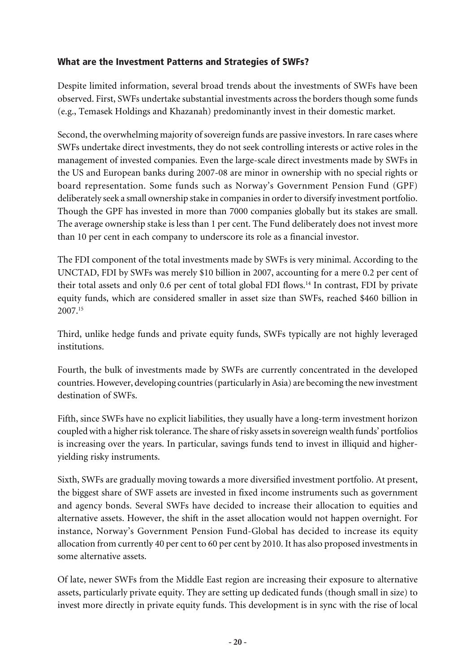### What are the Investment Patterns and Strategies of SWFs?

Despite limited information, several broad trends about the investments of SWFs have been observed. First, SWFs undertake substantial investments across the borders though some funds (e.g., Temasek Holdings and Khazanah) predominantly invest in their domestic market.

Second, the overwhelming majority of sovereign funds are passive investors. In rare cases where SWFs undertake direct investments, they do not seek controlling interests or active roles in the management of invested companies. Even the large-scale direct investments made by SWFs in the US and European banks during 2007-08 are minor in ownership with no special rights or board representation. Some funds such as Norway's Government Pension Fund (GPF) deliberately seek a small ownership stake in companies in order to diversify investment portfolio. Though the GPF has invested in more than 7000 companies globally but its stakes are small. The average ownership stake is less than 1 per cent. The Fund deliberately does not invest more than 10 per cent in each company to underscore its role as a financial investor.

The FDI component of the total investments made by SWFs is very minimal. According to the UNCTAD, FDI by SWFs was merely \$10 billion in 2007, accounting for a mere 0.2 per cent of their total assets and only 0.6 per cent of total global FDI flows.<sup>14</sup> In contrast, FDI by private equity funds, which are considered smaller in asset size than SWFs, reached \$460 billion in 2007.<sup>15</sup>

Third, unlike hedge funds and private equity funds, SWFs typically are not highly leveraged institutions.

Fourth, the bulk of investments made by SWFs are currently concentrated in the developed countries. However, developing countries (particularly in Asia) are becoming the new investment destination of SWFs.

Fifth, since SWFs have no explicit liabilities, they usually have a long-term investment horizon coupled with a higher risk tolerance. The share of risky assets in sovereign wealth funds' portfolios is increasing over the years. In particular, savings funds tend to invest in illiquid and higheryielding risky instruments.

Sixth, SWFs are gradually moving towards a more diversified investment portfolio. At present, the biggest share of SWF assets are invested in fixed income instruments such as government and agency bonds. Several SWFs have decided to increase their allocation to equities and alternative assets. However, the shift in the asset allocation would not happen overnight. For instance, Norway's Government Pension Fund-Global has decided to increase its equity allocation from currently 40 per cent to 60 per cent by 2010. It has also proposed investments in some alternative assets.

Of late, newer SWFs from the Middle East region are increasing their exposure to alternative assets, particularly private equity. They are setting up dedicated funds (though small in size) to invest more directly in private equity funds. This development is in sync with the rise of local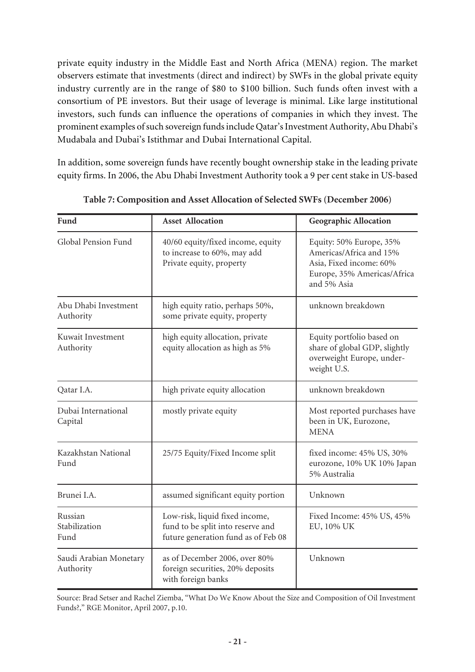private equity industry in the Middle East and North Africa (MENA) region. The market observers estimate that investments (direct and indirect) by SWFs in the global private equity industry currently are in the range of \$80 to \$100 billion. Such funds often invest with a consortium of PE investors. But their usage of leverage is minimal. Like large institutional investors, such funds can influence the operations of companies in which they invest. The prominent examples of such sovereign funds include Qatar's Investment Authority, Abu Dhabi's Mudabala and Dubai's Istithmar and Dubai International Capital.

In addition, some sovereign funds have recently bought ownership stake in the leading private equity firms. In 2006, the Abu Dhabi Investment Authority took a 9 per cent stake in US-based

| Fund                                | <b>Asset Allocation</b>                                                                                    | <b>Geographic Allocation</b>                                                                                                |
|-------------------------------------|------------------------------------------------------------------------------------------------------------|-----------------------------------------------------------------------------------------------------------------------------|
| Global Pension Fund                 | 40/60 equity/fixed income, equity<br>to increase to 60%, may add<br>Private equity, property               | Equity: 50% Europe, 35%<br>Americas/Africa and 15%<br>Asia, Fixed income: 60%<br>Europe, 35% Americas/Africa<br>and 5% Asia |
| Abu Dhabi Investment<br>Authority   | high equity ratio, perhaps 50%,<br>some private equity, property                                           | unknown breakdown                                                                                                           |
| Kuwait Investment<br>Authority      | high equity allocation, private<br>equity allocation as high as 5%                                         | Equity portfolio based on<br>share of global GDP, slightly<br>overweight Europe, under-<br>weight U.S.                      |
| Qatar I.A.                          | high private equity allocation                                                                             | unknown breakdown                                                                                                           |
| Dubai International<br>Capital      | mostly private equity                                                                                      | Most reported purchases have<br>been in UK, Eurozone,<br><b>MENA</b>                                                        |
| Kazakhstan National<br>Fund         | 25/75 Equity/Fixed Income split                                                                            | fixed income: 45% US, 30%<br>eurozone, 10% UK 10% Japan<br>5% Australia                                                     |
| Brunei I.A.                         | assumed significant equity portion                                                                         | Unknown                                                                                                                     |
| Russian<br>Stabilization<br>Fund    | Low-risk, liquid fixed income,<br>fund to be split into reserve and<br>future generation fund as of Feb 08 | Fixed Income: 45% US, 45%<br>EU, 10% UK                                                                                     |
| Saudi Arabian Monetary<br>Authority | as of December 2006, over 80%<br>foreign securities, 20% deposits<br>with foreign banks                    | Unknown                                                                                                                     |

**Table 7: Composition and Asset Allocation of Selected SWFs (December 2006)**

Source: Brad Setser and Rachel Ziemba, "What Do We Know About the Size and Composition of Oil Investment Funds?," RGE Monitor, April 2007, p.10.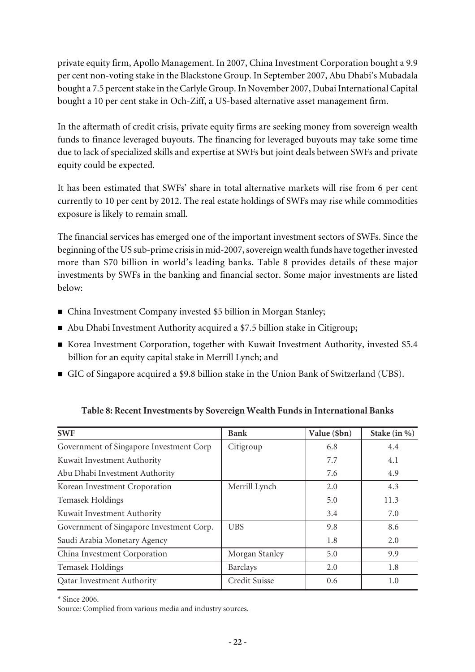private equity firm, Apollo Management. In 2007, China Investment Corporation bought a 9.9 per cent non-voting stake in the Blackstone Group. In September 2007, Abu Dhabi's Mubadala bought a 7.5 percent stake in the Carlyle Group. In November 2007, Dubai International Capital bought a 10 per cent stake in Och-Ziff, a US-based alternative asset management firm.

In the aftermath of credit crisis, private equity firms are seeking money from sovereign wealth funds to finance leveraged buyouts. The financing for leveraged buyouts may take some time due to lack of specialized skills and expertise at SWFs but joint deals between SWFs and private equity could be expected.

It has been estimated that SWFs' share in total alternative markets will rise from 6 per cent currently to 10 per cent by 2012. The real estate holdings of SWFs may rise while commodities exposure is likely to remain small.

The financial services has emerged one of the important investment sectors of SWFs. Since the beginning of the US sub-prime crisis in mid-2007, sovereign wealth funds have together invested more than \$70 billion in world's leading banks. Table 8 provides details of these major investments by SWFs in the banking and financial sector. Some major investments are listed below:

- China Investment Company invested \$5 billion in Morgan Stanley;
- Abu Dhabi Investment Authority acquired a \$7.5 billion stake in Citigroup;
- Korea Investment Corporation, together with Kuwait Investment Authority, invested \$5.4 billion for an equity capital stake in Merrill Lynch; and
- n GIC of Singapore acquired a \$9.8 billion stake in the Union Bank of Switzerland (UBS).

| <b>SWF</b>                               | <b>Bank</b>    | Value (\$bn) | Stake (in %) |
|------------------------------------------|----------------|--------------|--------------|
| Government of Singapore Investment Corp  | Citigroup      | 6.8          | 4.4          |
| Kuwait Investment Authority              |                | 7.7          | 4.1          |
| Abu Dhabi Investment Authority           |                | 7.6          | 4.9          |
| Korean Investment Croporation            | Merrill Lynch  | 2.0          | 4.3          |
| <b>Temasek Holdings</b>                  |                | 5.0          | 11.3         |
| Kuwait Investment Authority              |                | 3.4          | 7.0          |
| Government of Singapore Investment Corp. | <b>UBS</b>     | 9.8          | 8.6          |
| Saudi Arabia Monetary Agency             |                | 1.8          | 2.0          |
| China Investment Corporation             | Morgan Stanley | 5.0          | 9.9          |
| Temasek Holdings                         | Barclays       | 2.0          | 1.8          |
| <b>Qatar Investment Authority</b>        | Credit Suisse  | 0.6          | 1.0          |

### **Table 8: Recent Investments by Sovereign Wealth Funds in International Banks**

\* Since 2006.

Source: Complied from various media and industry sources.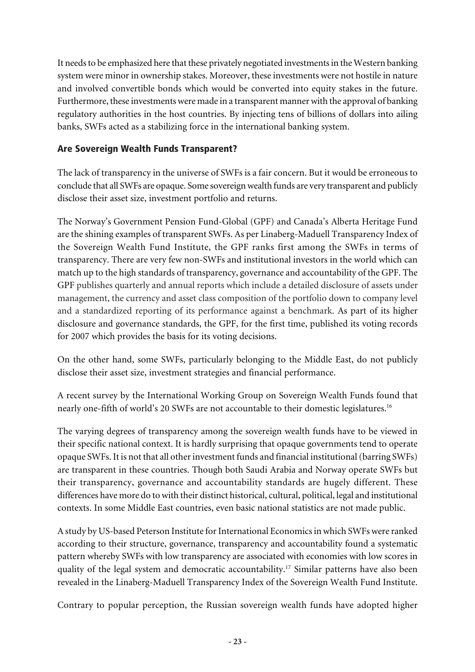It needs to be emphasized here that these privately negotiated investments in the Western banking system were minor in ownership stakes. Moreover, these investments were not hostile in nature and involved convertible bonds which would be converted into equity stakes in the future. Furthermore, these investments were made in a transparent manner with the approval of banking regulatory authorities in the host countries. By injecting tens of billions of dollars into ailing banks, SWFs acted as a stabilizing force in the international banking system.

### Are Sovereign Wealth Funds Transparent?

The lack of transparency in the universe of SWFs is a fair concern. But it would be erroneous to conclude that all SWFs are opaque. Some sovereign wealth funds are very transparent and publicly disclose their asset size, investment portfolio and returns.

The Norway's Government Pension Fund-Global (GPF) and Canada's Alberta Heritage Fund are the shining examples of transparent SWFs. As per Linaberg-Maduell Transparency Index of the Sovereign Wealth Fund Institute, the GPF ranks first among the SWFs in terms of transparency. There are very few non-SWFs and institutional investors in the world which can match up to the high standards of transparency, governance and accountability of the GPF. The GPF publishes quarterly and annual reports which include a detailed disclosure of assets under management, the currency and asset class composition of the portfolio down to company level and a standardized reporting of its performance against a benchmark. As part of its higher disclosure and governance standards, the GPF, for the first time, published its voting records for 2007 which provides the basis for its voting decisions.

On the other hand, some SWFs, particularly belonging to the Middle East, do not publicly disclose their asset size, investment strategies and financial performance.

A recent survey by the International Working Group on Sovereign Wealth Funds found that nearly one-fifth of world's 20 SWFs are not accountable to their domestic legislatures.<sup>16</sup>

The varying degrees of transparency among the sovereign wealth funds have to be viewed in their specific national context. It is hardly surprising that opaque governments tend to operate opaque SWFs. It is not that all other investment funds and financial institutional (barring SWFs) are transparent in these countries. Though both Saudi Arabia and Norway operate SWFs but their transparency, governance and accountability standards are hugely different. These differences have more do to with their distinct historical, cultural, political, legal and institutional contexts. In some Middle East countries, even basic national statistics are not made public.

A study by US-based Peterson Institute for International Economics in which SWFs were ranked according to their structure, governance, transparency and accountability found a systematic pattern whereby SWFs with low transparency are associated with economies with low scores in quality of the legal system and democratic accountability.<sup>17</sup> Similar patterns have also been revealed in the Linaberg-Maduell Transparency Index of the Sovereign Wealth Fund Institute.

Contrary to popular perception, the Russian sovereign wealth funds have adopted higher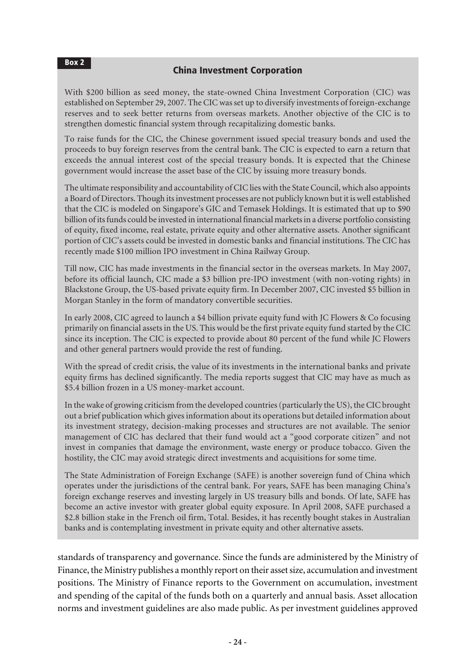### China Investment Corporation

With \$200 billion as seed money, the state-owned China Investment Corporation (CIC) was established on September 29, 2007. The CIC was set up to diversify investments of foreign-exchange reserves and to seek better returns from overseas markets. Another objective of the CIC is to strengthen domestic financial system through recapitalizing domestic banks.

To raise funds for the CIC, the Chinese government issued special treasury bonds and used the proceeds to buy foreign reserves from the central bank. The CIC is expected to earn a return that exceeds the annual interest cost of the special treasury bonds. It is expected that the Chinese government would increase the asset base of the CIC by issuing more treasury bonds.

The ultimate responsibility and accountability of CIC lies with the State Council, which also appoints a Board of Directors. Though its investment processes are not publicly known but it is well established that the CIC is modeled on Singapore's GIC and Temasek Holdings. It is estimated that up to \$90 billion of its funds could be invested in international financial markets in a diverse portfolio consisting of equity, fixed income, real estate, private equity and other alternative assets. Another significant portion of CIC's assets could be invested in domestic banks and financial institutions. The CIC has recently made \$100 million IPO investment in China Railway Group.

Till now, CIC has made investments in the financial sector in the overseas markets. In May 2007, before its official launch, CIC made a \$3 billion pre-IPO investment (with non-voting rights) in Blackstone Group, the US-based private equity firm. In December 2007, CIC invested \$5 billion in Morgan Stanley in the form of mandatory convertible securities.

In early 2008, CIC agreed to launch a \$4 billion private equity fund with JC Flowers & Co focusing primarily on financial assets in the US. This would be the first private equity fund started by the CIC since its inception. The CIC is expected to provide about 80 percent of the fund while JC Flowers and other general partners would provide the rest of funding.

With the spread of credit crisis, the value of its investments in the international banks and private equity firms has declined significantly. The media reports suggest that CIC may have as much as \$5.4 billion frozen in a US money-market account.

In the wake of growing criticism from the developed countries (particularly the US), the CIC brought out a brief publication which gives information about its operations but detailed information about its investment strategy, decision-making processes and structures are not available. The senior management of CIC has declared that their fund would act a "good corporate citizen" and not invest in companies that damage the environment, waste energy or produce tobacco. Given the hostility, the CIC may avoid strategic direct investments and acquisitions for some time.

The State Administration of Foreign Exchange (SAFE) is another sovereign fund of China which operates under the jurisdictions of the central bank. For years, SAFE has been managing China's foreign exchange reserves and investing largely in US treasury bills and bonds. Of late, SAFE has become an active investor with greater global equity exposure. In April 2008, SAFE purchased a \$2.8 billion stake in the French oil firm, Total. Besides, it has recently bought stakes in Australian banks and is contemplating investment in private equity and other alternative assets.

standards of transparency and governance. Since the funds are administered by the Ministry of Finance, the Ministry publishes a monthly report on their asset size, accumulation and investment positions. The Ministry of Finance reports to the Government on accumulation, investment and spending of the capital of the funds both on a quarterly and annual basis. Asset allocation norms and investment guidelines are also made public. As per investment guidelines approved

Box 2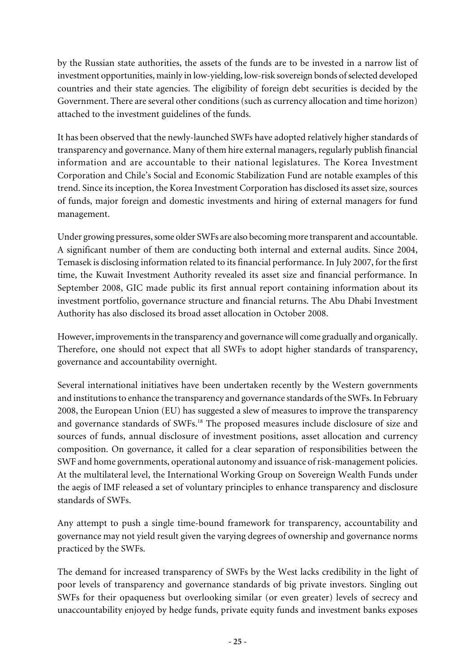by the Russian state authorities, the assets of the funds are to be invested in a narrow list of investment opportunities, mainly in low-yielding, low-risk sovereign bonds of selected developed countries and their state agencies. The eligibility of foreign debt securities is decided by the Government. There are several other conditions (such as currency allocation and time horizon) attached to the investment guidelines of the funds.

It has been observed that the newly-launched SWFs have adopted relatively higher standards of transparency and governance. Many of them hire external managers, regularly publish financial information and are accountable to their national legislatures. The Korea Investment Corporation and Chile's Social and Economic Stabilization Fund are notable examples of this trend. Since its inception, the Korea Investment Corporation has disclosed its asset size, sources of funds, major foreign and domestic investments and hiring of external managers for fund management.

Under growing pressures, some older SWFs are also becoming more transparent and accountable. A significant number of them are conducting both internal and external audits. Since 2004, Temasek is disclosing information related to its financial performance. In July 2007, for the first time, the Kuwait Investment Authority revealed its asset size and financial performance. In September 2008, GIC made public its first annual report containing information about its investment portfolio, governance structure and financial returns. The Abu Dhabi Investment Authority has also disclosed its broad asset allocation in October 2008.

However, improvements in the transparency and governance will come gradually and organically. Therefore, one should not expect that all SWFs to adopt higher standards of transparency, governance and accountability overnight.

Several international initiatives have been undertaken recently by the Western governments and institutions to enhance the transparency and governance standards of the SWFs. In February 2008, the European Union (EU) has suggested a slew of measures to improve the transparency and governance standards of SWFs.<sup>18</sup> The proposed measures include disclosure of size and sources of funds, annual disclosure of investment positions, asset allocation and currency composition. On governance, it called for a clear separation of responsibilities between the SWF and home governments, operational autonomy and issuance of risk-management policies. At the multilateral level, the International Working Group on Sovereign Wealth Funds under the aegis of IMF released a set of voluntary principles to enhance transparency and disclosure standards of SWFs.

Any attempt to push a single time-bound framework for transparency, accountability and governance may not yield result given the varying degrees of ownership and governance norms practiced by the SWFs.

The demand for increased transparency of SWFs by the West lacks credibility in the light of poor levels of transparency and governance standards of big private investors. Singling out SWFs for their opaqueness but overlooking similar (or even greater) levels of secrecy and unaccountability enjoyed by hedge funds, private equity funds and investment banks exposes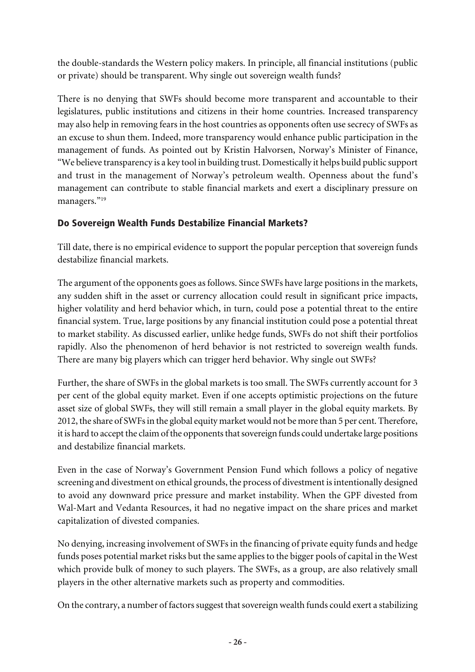the double-standards the Western policy makers. In principle, all financial institutions (public or private) should be transparent. Why single out sovereign wealth funds?

There is no denying that SWFs should become more transparent and accountable to their legislatures, public institutions and citizens in their home countries. Increased transparency may also help in removing fears in the host countries as opponents often use secrecy of SWFs as an excuse to shun them. Indeed, more transparency would enhance public participation in the management of funds. As pointed out by Kristin Halvorsen, Norway's Minister of Finance, "We believe transparency is a key tool in building trust. Domestically it helps build public support and trust in the management of Norway's petroleum wealth. Openness about the fund's management can contribute to stable financial markets and exert a disciplinary pressure on managers."<sup>19</sup>

# Do Sovereign Wealth Funds Destabilize Financial Markets?

Till date, there is no empirical evidence to support the popular perception that sovereign funds destabilize financial markets.

The argument of the opponents goes as follows. Since SWFs have large positions in the markets, any sudden shift in the asset or currency allocation could result in significant price impacts, higher volatility and herd behavior which, in turn, could pose a potential threat to the entire financial system. True, large positions by any financial institution could pose a potential threat to market stability. As discussed earlier, unlike hedge funds, SWFs do not shift their portfolios rapidly. Also the phenomenon of herd behavior is not restricted to sovereign wealth funds. There are many big players which can trigger herd behavior. Why single out SWFs?

Further, the share of SWFs in the global markets is too small. The SWFs currently account for 3 per cent of the global equity market. Even if one accepts optimistic projections on the future asset size of global SWFs, they will still remain a small player in the global equity markets. By 2012, the share of SWFs in the global equity market would not be more than 5 per cent. Therefore, it is hard to accept the claim of the opponents that sovereign funds could undertake large positions and destabilize financial markets.

Even in the case of Norway's Government Pension Fund which follows a policy of negative screening and divestment on ethical grounds, the process of divestment is intentionally designed to avoid any downward price pressure and market instability. When the GPF divested from Wal-Mart and Vedanta Resources, it had no negative impact on the share prices and market capitalization of divested companies.

No denying, increasing involvement of SWFs in the financing of private equity funds and hedge funds poses potential market risks but the same applies to the bigger pools of capital in the West which provide bulk of money to such players. The SWFs, as a group, are also relatively small players in the other alternative markets such as property and commodities.

On the contrary, a number of factors suggest that sovereign wealth funds could exert a stabilizing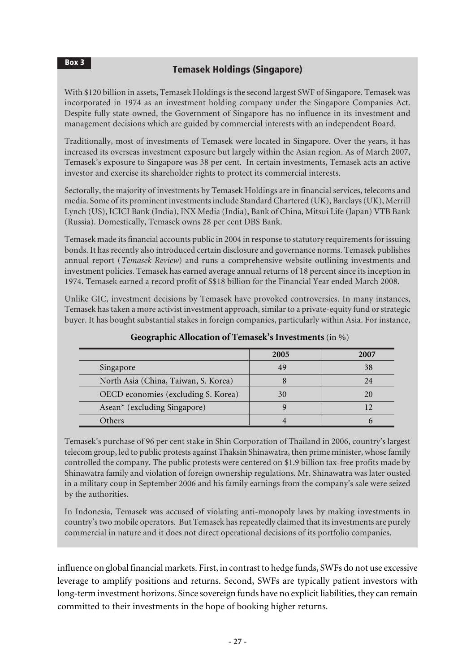### Temasek Holdings (Singapore)

Box 3

With \$120 billion in assets, Temasek Holdings is the second largest SWF of Singapore. Temasek was incorporated in 1974 as an investment holding company under the Singapore Companies Act. Despite fully state-owned, the Government of Singapore has no influence in its investment and management decisions which are guided by commercial interests with an independent Board.

Traditionally, most of investments of Temasek were located in Singapore. Over the years, it has increased its overseas investment exposure but largely within the Asian region. As of March 2007, Temasek's exposure to Singapore was 38 per cent. In certain investments, Temasek acts an active investor and exercise its shareholder rights to protect its commercial interests.

Sectorally, the majority of investments by Temasek Holdings are in financial services, telecoms and media. Some of its prominent investments include Standard Chartered (UK), Barclays (UK), Merrill Lynch (US), ICICI Bank (India), INX Media (India), Bank of China, Mitsui Life (Japan) VTB Bank (Russia). Domestically, Temasek owns 28 per cent DBS Bank.

Temasek made its financial accounts public in 2004 in response to statutory requirements for issuing bonds. It has recently also introduced certain disclosure and governance norms. Temasek publishes annual report (*Temasek Review*) and runs a comprehensive website outlining investments and investment policies. Temasek has earned average annual returns of 18 percent since its inception in 1974. Temasek earned a record profit of S\$18 billion for the Financial Year ended March 2008.

Unlike GIC, investment decisions by Temasek have provoked controversies. In many instances, Temasek has taken a more activist investment approach, similar to a private-equity fund or strategic buyer. It has bought substantial stakes in foreign companies, particularly within Asia. For instance,

|                                      | 2005 | 2007 |
|--------------------------------------|------|------|
| Singapore                            | 49   | 38   |
| North Asia (China, Taiwan, S. Korea) |      | 24   |
| OECD economies (excluding S. Korea)  | 30   |      |
| Asean* (excluding Singapore)         |      |      |
| )thers                               |      |      |

**Geographic Allocation of Temasek's Investments**(in %)

Temasek's purchase of 96 per cent stake in Shin Corporation of Thailand in 2006, country's largest telecom group, led to public protests against Thaksin Shinawatra, then prime minister, whose family controlled the company. The public protests were centered on \$1.9 billion tax-free profits made by Shinawatra family and violation of foreign ownership regulations. Mr. Shinawatra was later ousted in a military coup in September 2006 and his family earnings from the company's sale were seized by the authorities.

In Indonesia, Temasek was accused of violating anti-monopoly laws by making investments in country's two mobile operators. But Temasek has repeatedly claimed that its investments are purely commercial in nature and it does not direct operational decisions of its portfolio companies.

influence on global financial markets. First, in contrast to hedge funds, SWFs do not use excessive leverage to amplify positions and returns. Second, SWFs are typically patient investors with long-term investment horizons. Since sovereign funds have no explicit liabilities, they can remain committed to their investments in the hope of booking higher returns.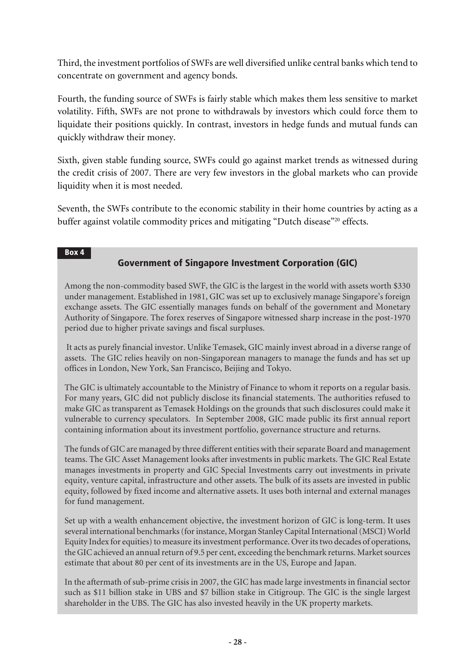Third, the investment portfolios of SWFs are well diversified unlike central banks which tend to concentrate on government and agency bonds.

Fourth, the funding source of SWFs is fairly stable which makes them less sensitive to market volatility. Fifth, SWFs are not prone to withdrawals by investors which could force them to liquidate their positions quickly. In contrast, investors in hedge funds and mutual funds can quickly withdraw their money.

Sixth, given stable funding source, SWFs could go against market trends as witnessed during the credit crisis of 2007. There are very few investors in the global markets who can provide liquidity when it is most needed.

Seventh, the SWFs contribute to the economic stability in their home countries by acting as a buffer against volatile commodity prices and mitigating "Dutch disease"<sup>20</sup> effects.

#### Box 4

# Government of Singapore Investment Corporation (GIC)

Among the non-commodity based SWF, the GIC is the largest in the world with assets worth \$330 under management. Established in 1981, GIC was set up to exclusively manage Singapore's foreign exchange assets. The GIC essentially manages funds on behalf of the government and Monetary Authority of Singapore. The forex reserves of Singapore witnessed sharp increase in the post-1970 period due to higher private savings and fiscal surpluses.

 It acts as purely financial investor. Unlike Temasek, GIC mainly invest abroad in a diverse range of assets. The GIC relies heavily on non-Singaporean managers to manage the funds and has set up offices in London, New York, San Francisco, Beijing and Tokyo.

The GIC is ultimately accountable to the Ministry of Finance to whom it reports on a regular basis. For many years, GIC did not publicly disclose its financial statements. The authorities refused to make GIC as transparent as Temasek Holdings on the grounds that such disclosures could make it vulnerable to currency speculators. In September 2008, GIC made public its first annual report containing information about its investment portfolio, governance structure and returns.

The funds of GIC are managed by three different entities with their separate Board and management teams. The GIC Asset Management looks after investments in public markets. The GIC Real Estate manages investments in property and GIC Special Investments carry out investments in private equity, venture capital, infrastructure and other assets. The bulk of its assets are invested in public equity, followed by fixed income and alternative assets. It uses both internal and external manages for fund management.

Set up with a wealth enhancement objective, the investment horizon of GIC is long-term. It uses several international benchmarks (for instance, Morgan Stanley Capital International (MSCI) World Equity Index for equities) to measure its investment performance. Over its two decades of operations, the GIC achieved an annual return of 9.5 per cent, exceeding the benchmark returns. Market sources estimate that about 80 per cent of its investments are in the US, Europe and Japan.

In the aftermath of sub-prime crisis in 2007, the GIC has made large investments in financial sector such as \$11 billion stake in UBS and \$7 billion stake in Citigroup. The GIC is the single largest shareholder in the UBS. The GIC has also invested heavily in the UK property markets.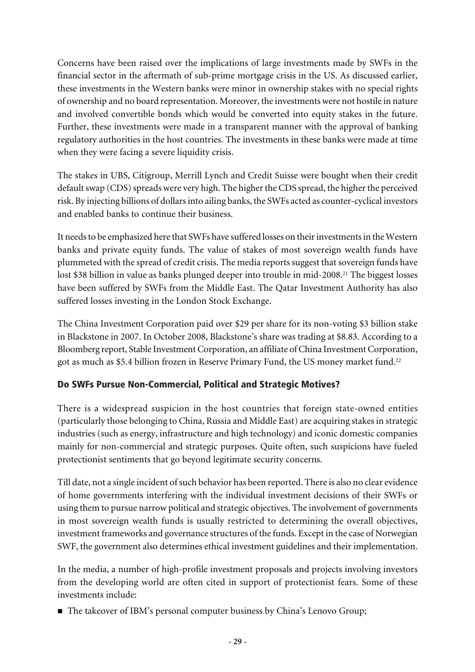Concerns have been raised over the implications of large investments made by SWFs in the financial sector in the aftermath of sub-prime mortgage crisis in the US. As discussed earlier, these investments in the Western banks were minor in ownership stakes with no special rights of ownership and no board representation. Moreover, the investments were not hostile in nature and involved convertible bonds which would be converted into equity stakes in the future. Further, these investments were made in a transparent manner with the approval of banking regulatory authorities in the host countries. The investments in these banks were made at time when they were facing a severe liquidity crisis.

The stakes in UBS, Citigroup, Merrill Lynch and Credit Suisse were bought when their credit default swap (CDS) spreads were very high. The higher the CDS spread, the higher the perceived risk. By injecting billions of dollars into ailing banks, the SWFs acted as counter-cyclical investors and enabled banks to continue their business.

It needs to be emphasized here that SWFs have suffered losses on their investments in the Western banks and private equity funds. The value of stakes of most sovereign wealth funds have plummeted with the spread of credit crisis. The media reports suggest that sovereign funds have lost \$38 billion in value as banks plunged deeper into trouble in mid-2008.<sup>21</sup> The biggest losses have been suffered by SWFs from the Middle East. The Qatar Investment Authority has also suffered losses investing in the London Stock Exchange.

The China Investment Corporation paid over \$29 per share for its non-voting \$3 billion stake in Blackstone in 2007. In October 2008, Blackstone's share was trading at \$8.83. According to a Bloomberg report, Stable Investment Corporation, an affiliate of China Investment Corporation, got as much as \$5.4 billion frozen in Reserve Primary Fund, the US money market fund.<sup>22</sup>

# Do SWFs Pursue Non-Commercial, Political and Strategic Motives?

There is a widespread suspicion in the host countries that foreign state-owned entities (particularly those belonging to China, Russia and Middle East) are acquiring stakes in strategic industries (such as energy, infrastructure and high technology) and iconic domestic companies mainly for non-commercial and strategic purposes. Quite often, such suspicions have fueled protectionist sentiments that go beyond legitimate security concerns.

Till date, not a single incident of such behavior has been reported. There is also no clear evidence of home governments interfering with the individual investment decisions of their SWFs or using them to pursue narrow political and strategic objectives. The involvement of governments in most sovereign wealth funds is usually restricted to determining the overall objectives, investment frameworks and governance structures of the funds. Except in the case of Norwegian SWF, the government also determines ethical investment guidelines and their implementation.

In the media, a number of high-profile investment proposals and projects involving investors from the developing world are often cited in support of protectionist fears. Some of these investments include:

■ The takeover of IBM's personal computer business by China's Lenovo Group;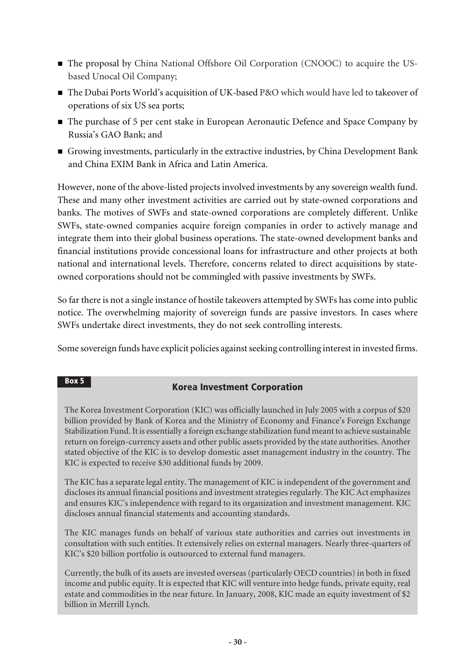- The proposal by China National Offshore Oil Corporation (CNOOC) to acquire the USbased Unocal Oil Company;
- The Dubai Ports World's acquisition of UK-based P&O which would have led to takeover of operations of six US sea ports;
- The purchase of 5 per cent stake in European Aeronautic Defence and Space Company by Russia's GAO Bank; and
- n Growing investments, particularly in the extractive industries, by China Development Bank and China EXIM Bank in Africa and Latin America.

However, none of the above-listed projects involved investments by any sovereign wealth fund. These and many other investment activities are carried out by state-owned corporations and banks. The motives of SWFs and state-owned corporations are completely different. Unlike SWFs, state-owned companies acquire foreign companies in order to actively manage and integrate them into their global business operations. The state-owned development banks and financial institutions provide concessional loans for infrastructure and other projects at both national and international levels. Therefore, concerns related to direct acquisitions by stateowned corporations should not be commingled with passive investments by SWFs.

So far there is not a single instance of hostile takeovers attempted by SWFs has come into public notice. The overwhelming majority of sovereign funds are passive investors. In cases where SWFs undertake direct investments, they do not seek controlling interests.

Some sovereign funds have explicit policies against seeking controlling interest in invested firms.

#### Box 5

### Korea Investment Corporation

The Korea Investment Corporation (KIC) was officially launched in July 2005 with a corpus of \$20 billion provided by Bank of Korea and the Ministry of Economy and Finance's Foreign Exchange Stabilization Fund. It is essentially a foreign exchange stabilization fund meant to achieve sustainable return on foreign-currency assets and other public assets provided by the state authorities. Another stated objective of the KIC is to develop domestic asset management industry in the country. The KIC is expected to receive \$30 additional funds by 2009.

The KIC has a separate legal entity. The management of KIC is independent of the government and discloses its annual financial positions and investment strategies regularly. The KIC Act emphasizes and ensures KIC's independence with regard to its organization and investment management. KIC discloses annual financial statements and accounting standards.

The KIC manages funds on behalf of various state authorities and carries out investments in consultation with such entities. It extensively relies on external managers. Nearly three-quarters of KIC's \$20 billion portfolio is outsourced to external fund managers.

Currently, the bulk of its assets are invested overseas (particularly OECD countries) in both in fixed income and public equity. It is expected that KIC will venture into hedge funds, private equity, real estate and commodities in the near future. In January, 2008, KIC made an equity investment of \$2 billion in Merrill Lynch.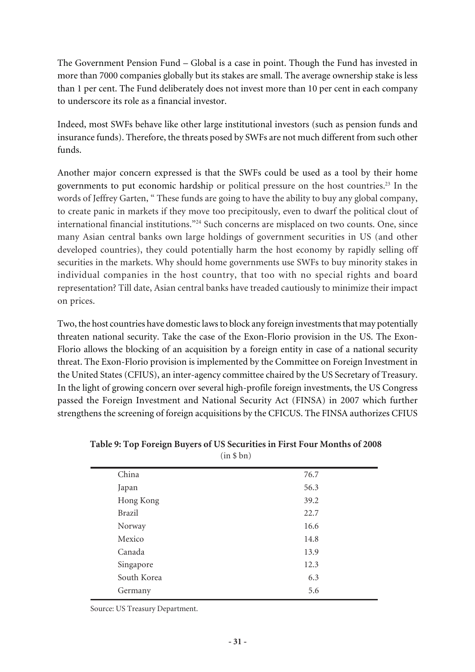The Government Pension Fund – Global is a case in point. Though the Fund has invested in more than 7000 companies globally but its stakes are small. The average ownership stake is less than 1 per cent. The Fund deliberately does not invest more than 10 per cent in each company to underscore its role as a financial investor.

Indeed, most SWFs behave like other large institutional investors (such as pension funds and insurance funds). Therefore, the threats posed by SWFs are not much different from such other funds.

Another major concern expressed is that the SWFs could be used as a tool by their home governments to put economic hardship or political pressure on the host countries.<sup>23</sup> In the words of Jeffrey Garten, " These funds are going to have the ability to buy any global company, to create panic in markets if they move too precipitously, even to dwarf the political clout of international financial institutions."<sup>24</sup> Such concerns are misplaced on two counts. One, since many Asian central banks own large holdings of government securities in US (and other developed countries), they could potentially harm the host economy by rapidly selling off securities in the markets. Why should home governments use SWFs to buy minority stakes in individual companies in the host country, that too with no special rights and board representation? Till date, Asian central banks have treaded cautiously to minimize their impact on prices.

Two, the host countries have domestic laws to block any foreign investments that may potentially threaten national security. Take the case of the Exon-Florio provision in the US. The Exon-Florio allows the blocking of an acquisition by a foreign entity in case of a national security threat. The Exon-Florio provision is implemented by the Committee on Foreign Investment in the United States (CFIUS), an inter-agency committee chaired by the US Secretary of Treasury. In the light of growing concern over several high-profile foreign investments, the US Congress passed the Foreign Investment and National Security Act (FINSA) in 2007 which further strengthens the screening of foreign acquisitions by the CFICUS. The FINSA authorizes CFIUS

| China         | 76.7 |
|---------------|------|
| Japan         | 56.3 |
| Hong Kong     | 39.2 |
| <b>Brazil</b> | 22.7 |
| Norway        | 16.6 |
| Mexico        | 14.8 |
| Canada        | 13.9 |
| Singapore     | 12.3 |
| South Korea   | 6.3  |
| Germany       | 5.6  |

**Table 9: Top Foreign Buyers of US Securities in First Four Months of 2008** (in \$ bn)

Source: US Treasury Department.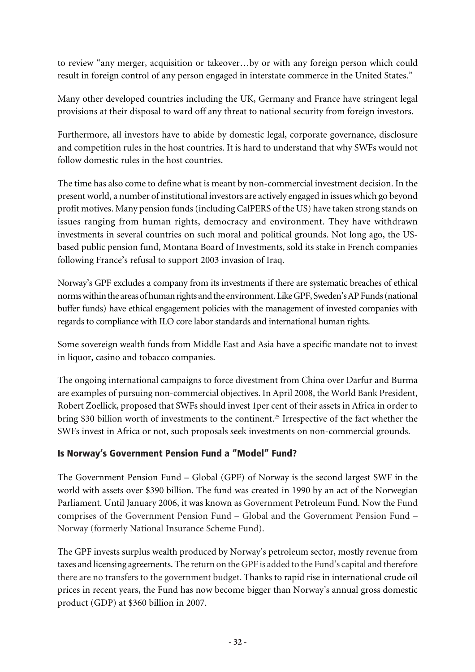to review "any merger, acquisition or takeover…by or with any foreign person which could result in foreign control of any person engaged in interstate commerce in the United States."

Many other developed countries including the UK, Germany and France have stringent legal provisions at their disposal to ward off any threat to national security from foreign investors.

Furthermore, all investors have to abide by domestic legal, corporate governance, disclosure and competition rules in the host countries. It is hard to understand that why SWFs would not follow domestic rules in the host countries.

The time has also come to define what is meant by non-commercial investment decision. In the present world, a number of institutional investors are actively engaged in issues which go beyond profit motives. Many pension funds (including CalPERS of the US) have taken strong stands on issues ranging from human rights, democracy and environment. They have withdrawn investments in several countries on such moral and political grounds. Not long ago, the USbased public pension fund, Montana Board of Investments, sold its stake in French companies following France's refusal to support 2003 invasion of Iraq.

Norway's GPF excludes a company from its investments if there are systematic breaches of ethical norms within the areas of human rights and the environment. Like GPF, Sweden's AP Funds (national buffer funds) have ethical engagement policies with the management of invested companies with regards to compliance with ILO core labor standards and international human rights.

Some sovereign wealth funds from Middle East and Asia have a specific mandate not to invest in liquor, casino and tobacco companies.

The ongoing international campaigns to force divestment from China over Darfur and Burma are examples of pursuing non-commercial objectives. In April 2008, the World Bank President, Robert Zoellick, proposed that SWFs should invest 1per cent of their assets in Africa in order to bring \$30 billion worth of investments to the continent.<sup>25</sup> Irrespective of the fact whether the SWFs invest in Africa or not, such proposals seek investments on non-commercial grounds.

### Is Norway's Government Pension Fund a "Model" Fund?

The Government Pension Fund – Global (GPF) of Norway is the second largest SWF in the world with assets over \$390 billion. The fund was created in 1990 by an act of the Norwegian Parliament. Until January 2006, it was known as Government Petroleum Fund. Now the Fund comprises of the Government Pension Fund – Global and the Government Pension Fund – Norway (formerly National Insurance Scheme Fund).

The GPF invests surplus wealth produced by Norway's petroleum sector, mostly revenue from taxes and licensing agreements. The return on the GPF is added to the Fund's capital and therefore there are no transfers to the government budget. Thanks to rapid rise in international crude oil prices in recent years, the Fund has now become bigger than Norway's annual gross domestic product (GDP) at \$360 billion in 2007.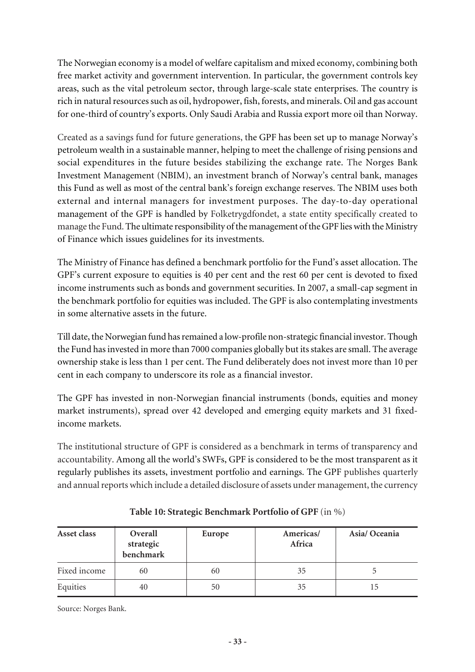The Norwegian economy is a model of welfare capitalism and mixed economy, combining both free market activity and government intervention. In particular, the government controls key areas, such as the vital petroleum sector, through large-scale state enterprises. The country is rich in natural resources such as oil, hydropower, fish, forests, and minerals. Oil and gas account for one-third of country's exports. Only Saudi Arabia and Russia export more oil than Norway.

Created as a savings fund for future generations, the GPF has been set up to manage Norway's petroleum wealth in a sustainable manner, helping to meet the challenge of rising pensions and social expenditures in the future besides stabilizing the exchange rate. The Norges Bank Investment Management (NBIM), an investment branch of Norway's central bank, manages this Fund as well as most of the central bank's foreign exchange reserves. The NBIM uses both external and internal managers for investment purposes. The day-to-day operational management of the GPF is handled by Folketrygdfondet, a state entity specifically created to manage the Fund. The ultimate responsibility of the management of the GPF lies with the Ministry of Finance which issues guidelines for its investments.

The Ministry of Finance has defined a benchmark portfolio for the Fund's asset allocation. The GPF's current exposure to equities is 40 per cent and the rest 60 per cent is devoted to fixed income instruments such as bonds and government securities. In 2007, a small-cap segment in the benchmark portfolio for equities was included. The GPF is also contemplating investments in some alternative assets in the future.

Till date, the Norwegian fund has remained a low-profile non-strategic financial investor. Though the Fund has invested in more than 7000 companies globally but its stakes are small. The average ownership stake is less than 1 per cent. The Fund deliberately does not invest more than 10 per cent in each company to underscore its role as a financial investor.

The GPF has invested in non-Norwegian financial instruments (bonds, equities and money market instruments), spread over 42 developed and emerging equity markets and 31 fixedincome markets.

The institutional structure of GPF is considered as a benchmark in terms of transparency and accountability. Among all the world's SWFs, GPF is considered to be the most transparent as it regularly publishes its assets, investment portfolio and earnings. The GPF publishes quarterly and annual reports which include a detailed disclosure of assets under management, the currency

| Asset class  | Overall<br>strategic<br>benchmark | Europe | Americas/<br>Africa | Asia/Oceania |
|--------------|-----------------------------------|--------|---------------------|--------------|
| Fixed income | 60                                | 60     | 35                  |              |
| Equities     | 40                                | 50     | 35                  | 15           |

**Table 10: Strategic Benchmark Portfolio of GPF** (in %)

Source: Norges Bank.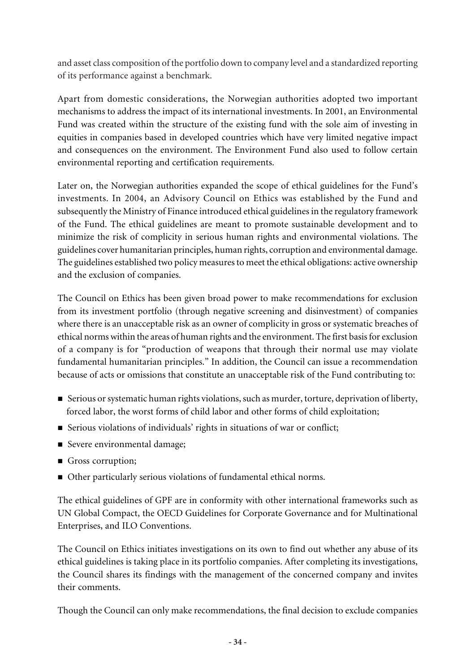and asset class composition of the portfolio down to company level and a standardized reporting of its performance against a benchmark.

Apart from domestic considerations, the Norwegian authorities adopted two important mechanisms to address the impact of its international investments. In 2001, an Environmental Fund was created within the structure of the existing fund with the sole aim of investing in equities in companies based in developed countries which have very limited negative impact and consequences on the environment. The Environment Fund also used to follow certain environmental reporting and certification requirements.

Later on, the Norwegian authorities expanded the scope of ethical guidelines for the Fund's investments. In 2004, an Advisory Council on Ethics was established by the Fund and subsequently the Ministry of Finance introduced ethical guidelines in the regulatory framework of the Fund. The ethical guidelines are meant to promote sustainable development and to minimize the risk of complicity in serious human rights and environmental violations. The guidelines cover humanitarian principles, human rights, corruption and environmental damage. The guidelines established two policy measures to meet the ethical obligations: active ownership and the exclusion of companies.

The Council on Ethics has been given broad power to make recommendations for exclusion from its investment portfolio (through negative screening and disinvestment) of companies where there is an unacceptable risk as an owner of complicity in gross or systematic breaches of ethical norms within the areas of human rights and the environment. The first basis for exclusion of a company is for "production of weapons that through their normal use may violate fundamental humanitarian principles." In addition, the Council can issue a recommendation because of acts or omissions that constitute an unacceptable risk of the Fund contributing to:

- n Serious or systematic human rights violations, such as murder, torture, deprivation of liberty, forced labor, the worst forms of child labor and other forms of child exploitation;
- Serious violations of individuals' rights in situations of war or conflict;
- Severe environmental damage;
- Gross corruption;
- n Other particularly serious violations of fundamental ethical norms.

The ethical guidelines of GPF are in conformity with other international frameworks such as UN Global Compact, the OECD Guidelines for Corporate Governance and for Multinational Enterprises, and ILO Conventions.

The Council on Ethics initiates investigations on its own to find out whether any abuse of its ethical guidelines is taking place in its portfolio companies. After completing its investigations, the Council shares its findings with the management of the concerned company and invites their comments.

Though the Council can only make recommendations, the final decision to exclude companies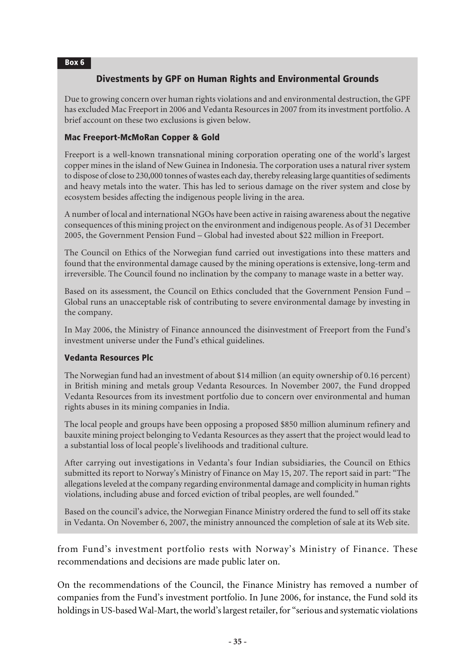#### Box 6

### Divestments by GPF on Human Rights and Environmental Grounds

Due to growing concern over human rights violations and and environmental destruction, the GPF has excluded Mac Freeport in 2006 and Vedanta Resources in 2007 from its investment portfolio. A brief account on these two exclusions is given below.

#### Mac Freeport-McMoRan Copper & Gold

Freeport is a well-known transnational mining corporation operating one of the world's largest copper mines in the island of New Guinea in Indonesia. The corporation uses a natural river system to dispose of close to 230,000 tonnes of wastes each day, thereby releasing large quantities of sediments and heavy metals into the water. This has led to serious damage on the river system and close by ecosystem besides affecting the indigenous people living in the area.

A number of local and international NGOs have been active in raising awareness about the negative consequences of this mining project on the environment and indigenous people. As of 31 December 2005, the Government Pension Fund – Global had invested about \$22 million in Freeport.

The Council on Ethics of the Norwegian fund carried out investigations into these matters and found that the environmental damage caused by the mining operations is extensive, long-term and irreversible. The Council found no inclination by the company to manage waste in a better way.

Based on its assessment, the Council on Ethics concluded that the Government Pension Fund – Global runs an unacceptable risk of contributing to severe environmental damage by investing in the company.

In May 2006, the Ministry of Finance announced the disinvestment of Freeport from the Fund's investment universe under the Fund's ethical guidelines.

#### Vedanta Resources Plc

The Norwegian fund had an investment of about \$14 million (an equity ownership of 0.16 percent) in British mining and metals group Vedanta Resources. In November 2007, the Fund dropped Vedanta Resources from its investment portfolio due to concern over environmental and human rights abuses in its mining companies in India.

The local people and groups have been opposing a proposed \$850 million aluminum refinery and bauxite mining project belonging to Vedanta Resources as they assert that the project would lead to a substantial loss of local people's livelihoods and traditional culture.

After carrying out investigations in Vedanta's four Indian subsidiaries, the Council on Ethics submitted its report to Norway's Ministry of Finance on May 15, 207. The report said in part: "The allegations leveled at the company regarding environmental damage and complicity in human rights violations, including abuse and forced eviction of tribal peoples, are well founded."

Based on the council's advice, the Norwegian Finance Ministry ordered the fund to sell off its stake in Vedanta. On November 6, 2007, the ministry announced the completion of sale at its Web site.

from Fund's investment portfolio rests with Norway's Ministry of Finance. These recommendations and decisions are made public later on.

On the recommendations of the Council, the Finance Ministry has removed a number of companies from the Fund's investment portfolio. In June 2006, for instance, the Fund sold its holdings in US-based Wal-Mart, the world's largest retailer, for "serious and systematic violations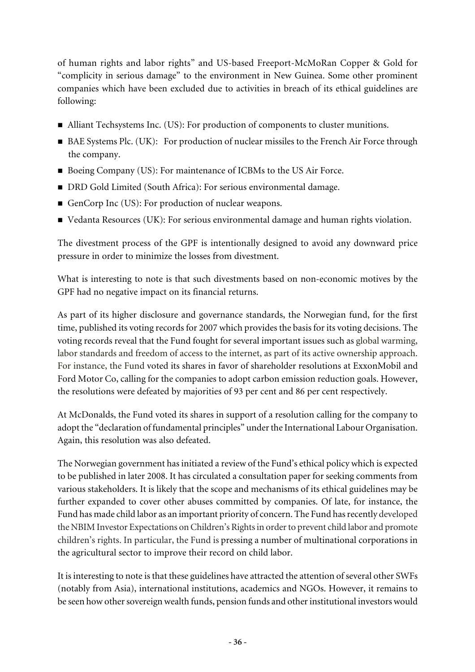of human rights and labor rights" and US-based Freeport-McMoRan Copper & Gold for "complicity in serious damage" to the environment in New Guinea. Some other prominent companies which have been excluded due to activities in breach of its ethical guidelines are following:

- $\blacksquare$  Alliant Techsystems Inc. (US): For production of components to cluster munitions.
- BAE Systems Plc. (UK): For production of nuclear missiles to the French Air Force through the company.
- Boeing Company (US): For maintenance of ICBMs to the US Air Force.
- DRD Gold Limited (South Africa): For serious environmental damage.
- GenCorp Inc (US): For production of nuclear weapons.
- Vedanta Resources (UK): For serious environmental damage and human rights violation.

The divestment process of the GPF is intentionally designed to avoid any downward price pressure in order to minimize the losses from divestment.

What is interesting to note is that such divestments based on non-economic motives by the GPF had no negative impact on its financial returns.

As part of its higher disclosure and governance standards, the Norwegian fund, for the first time, published its voting records for 2007 which provides the basis for its voting decisions. The voting records reveal that the Fund fought for several important issues such as global warming, labor standards and freedom of access to the internet, as part of its active ownership approach. For instance, the Fund voted its shares in favor of shareholder resolutions at ExxonMobil and Ford Motor Co, calling for the companies to adopt carbon emission reduction goals. However, the resolutions were defeated by majorities of 93 per cent and 86 per cent respectively.

At McDonalds, the Fund voted its shares in support of a resolution calling for the company to adopt the "declaration of fundamental principles" under the International Labour Organisation. Again, this resolution was also defeated.

The Norwegian government has initiated a review of the Fund's ethical policy which is expected to be published in later 2008. It has circulated a consultation paper for seeking comments from various stakeholders. It is likely that the scope and mechanisms of its ethical guidelines may be further expanded to cover other abuses committed by companies. Of late, for instance, the Fund has made child labor as an important priority of concern. The Fund has recently developed the NBIM Investor Expectations on Children's Rights in order to prevent child labor and promote children's rights. In particular, the Fund is pressing a number of multinational corporations in the agricultural sector to improve their record on child labor.

It is interesting to note is that these guidelines have attracted the attention of several other SWFs (notably from Asia), international institutions, academics and NGOs. However, it remains to be seen how other sovereign wealth funds, pension funds and other institutional investors would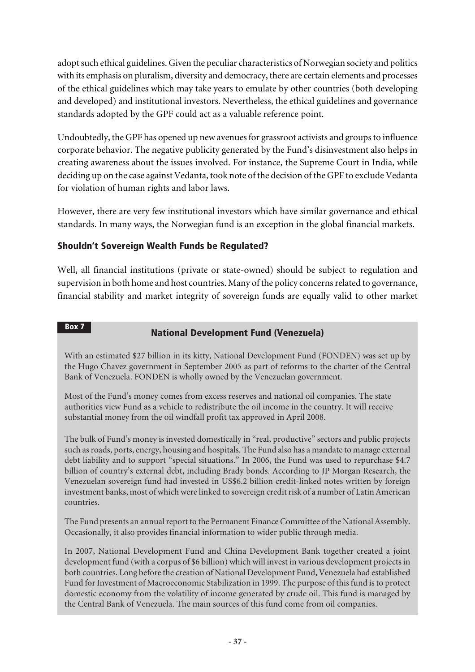adopt such ethical guidelines. Given the peculiar characteristics of Norwegian society and politics with its emphasis on pluralism, diversity and democracy, there are certain elements and processes of the ethical guidelines which may take years to emulate by other countries (both developing and developed) and institutional investors. Nevertheless, the ethical guidelines and governance standards adopted by the GPF could act as a valuable reference point.

Undoubtedly, the GPF has opened up new avenues for grassroot activists and groups to influence corporate behavior. The negative publicity generated by the Fund's disinvestment also helps in creating awareness about the issues involved. For instance, the Supreme Court in India, while deciding up on the case against Vedanta, took note of the decision of the GPF to exclude Vedanta for violation of human rights and labor laws.

However, there are very few institutional investors which have similar governance and ethical standards. In many ways, the Norwegian fund is an exception in the global financial markets.

### Shouldn't Sovereign Wealth Funds be Regulated?

Box 7

Well, all financial institutions (private or state-owned) should be subject to regulation and supervision in both home and host countries. Many of the policy concerns related to governance, financial stability and market integrity of sovereign funds are equally valid to other market

# National Development Fund (Venezuela)

With an estimated \$27 billion in its kitty, National Development Fund (FONDEN) was set up by the Hugo Chavez government in September 2005 as part of reforms to the charter of the Central Bank of Venezuela. FONDEN is wholly owned by the Venezuelan government.

Most of the Fund's money comes from excess reserves and national oil companies. The state authorities view Fund as a vehicle to redistribute the oil income in the country. It will receive substantial money from the oil windfall profit tax approved in April 2008.

The bulk of Fund's money is invested domestically in "real, productive" sectors and public projects such as roads, ports, energy, housing and hospitals. The Fund also has a mandate to manage external debt liability and to support "special situations." In 2006, the Fund was used to repurchase \$4.7 billion of country's external debt, including Brady bonds. According to JP Morgan Research, the Venezuelan sovereign fund had invested in US\$6.2 billion credit-linked notes written by foreign investment banks, most of which were linked to sovereign credit risk of a number of Latin American countries.

The Fund presents an annual report to the Permanent Finance Committee of the National Assembly. Occasionally, it also provides financial information to wider public through media.

In 2007, National Development Fund and China Development Bank together created a joint development fund (with a corpus of \$6 billion) which will invest in various development projects in both countries. Long before the creation of National Development Fund, Venezuela had established Fund for Investment of Macroeconomic Stabilization in 1999. The purpose of this fund is to protect domestic economy from the volatility of income generated by crude oil. This fund is managed by the Central Bank of Venezuela. The main sources of this fund come from oil companies.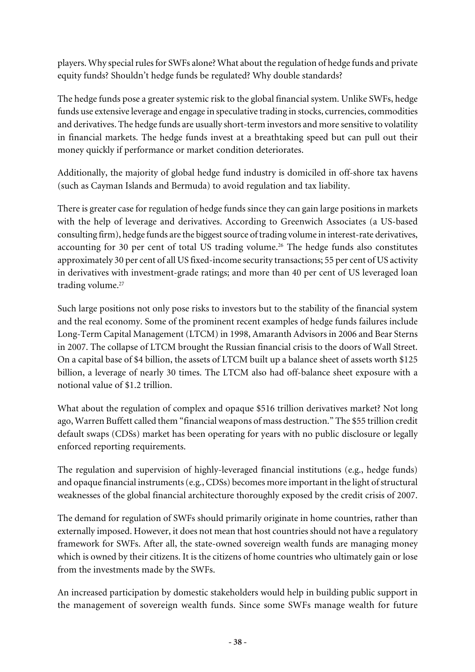players. Why special rules for SWFs alone? What about the regulation of hedge funds and private equity funds? Shouldn't hedge funds be regulated? Why double standards?

The hedge funds pose a greater systemic risk to the global financial system. Unlike SWFs, hedge funds use extensive leverage and engage in speculative trading in stocks, currencies, commodities and derivatives. The hedge funds are usually short-term investors and more sensitive to volatility in financial markets. The hedge funds invest at a breathtaking speed but can pull out their money quickly if performance or market condition deteriorates.

Additionally, the majority of global hedge fund industry is domiciled in off-shore tax havens (such as Cayman Islands and Bermuda) to avoid regulation and tax liability.

There is greater case for regulation of hedge funds since they can gain large positions in markets with the help of leverage and derivatives. According to Greenwich Associates (a US-based consulting firm), hedge funds are the biggest source of trading volume in interest-rate derivatives, accounting for 30 per cent of total US trading volume.<sup>26</sup> The hedge funds also constitutes approximately 30 per cent of all US fixed-income security transactions; 55 per cent of US activity in derivatives with investment-grade ratings; and more than 40 per cent of US leveraged loan trading volume.<sup>27</sup>

Such large positions not only pose risks to investors but to the stability of the financial system and the real economy. Some of the prominent recent examples of hedge funds failures include Long-Term Capital Management (LTCM) in 1998, Amaranth Advisors in 2006 and Bear Sterns in 2007. The collapse of LTCM brought the Russian financial crisis to the doors of Wall Street. On a capital base of \$4 billion, the assets of LTCM built up a balance sheet of assets worth \$125 billion, a leverage of nearly 30 times. The LTCM also had off-balance sheet exposure with a notional value of \$1.2 trillion.

What about the regulation of complex and opaque \$516 trillion derivatives market? Not long ago, Warren Buffett called them "financial weapons of mass destruction." The \$55 trillion credit default swaps (CDSs) market has been operating for years with no public disclosure or legally enforced reporting requirements.

The regulation and supervision of highly-leveraged financial institutions (e.g., hedge funds) and opaque financial instruments (e.g., CDSs) becomes more important in the light of structural weaknesses of the global financial architecture thoroughly exposed by the credit crisis of 2007.

The demand for regulation of SWFs should primarily originate in home countries, rather than externally imposed. However, it does not mean that host countries should not have a regulatory framework for SWFs. After all, the state-owned sovereign wealth funds are managing money which is owned by their citizens. It is the citizens of home countries who ultimately gain or lose from the investments made by the SWFs.

An increased participation by domestic stakeholders would help in building public support in the management of sovereign wealth funds. Since some SWFs manage wealth for future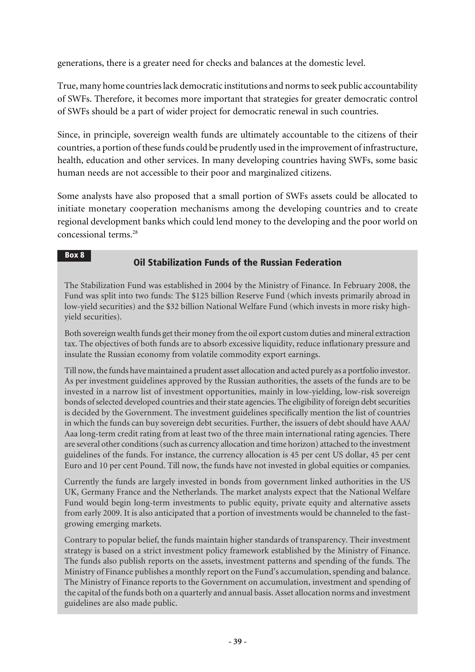generations, there is a greater need for checks and balances at the domestic level.

True, many home countries lack democratic institutions and norms to seek public accountability of SWFs. Therefore, it becomes more important that strategies for greater democratic control of SWFs should be a part of wider project for democratic renewal in such countries.

Since, in principle, sovereign wealth funds are ultimately accountable to the citizens of their countries, a portion of these funds could be prudently used in the improvement of infrastructure, health, education and other services. In many developing countries having SWFs, some basic human needs are not accessible to their poor and marginalized citizens.

Some analysts have also proposed that a small portion of SWFs assets could be allocated to initiate monetary cooperation mechanisms among the developing countries and to create regional development banks which could lend money to the developing and the poor world on concessional terms.<sup>28</sup>

#### Box 8

# Oil Stabilization Funds of the Russian Federation

The Stabilization Fund was established in 2004 by the Ministry of Finance. In February 2008, the Fund was split into two funds: The \$125 billion Reserve Fund (which invests primarily abroad in low-yield securities) and the \$32 billion National Welfare Fund (which invests in more risky highyield securities).

Both sovereign wealth funds get their money from the oil export custom duties and mineral extraction tax. The objectives of both funds are to absorb excessive liquidity, reduce inflationary pressure and insulate the Russian economy from volatile commodity export earnings.

Till now, the funds have maintained a prudent asset allocation and acted purely as a portfolio investor. As per investment guidelines approved by the Russian authorities, the assets of the funds are to be invested in a narrow list of investment opportunities, mainly in low-yielding, low-risk sovereign bonds of selected developed countries and their state agencies. The eligibility of foreign debt securities is decided by the Government. The investment guidelines specifically mention the list of countries in which the funds can buy sovereign debt securities. Further, the issuers of debt should have AAA/ Aaa long-term credit rating from at least two of the three main international rating agencies. There are several other conditions (such as currency allocation and time horizon) attached to the investment guidelines of the funds. For instance, the currency allocation is 45 per cent US dollar, 45 per cent Euro and 10 per cent Pound. Till now, the funds have not invested in global equities or companies.

Currently the funds are largely invested in bonds from government linked authorities in the US UK, Germany France and the Netherlands. The market analysts expect that the National Welfare Fund would begin long-term investments to public equity, private equity and alternative assets from early 2009. It is also anticipated that a portion of investments would be channeled to the fastgrowing emerging markets.

Contrary to popular belief, the funds maintain higher standards of transparency. Their investment strategy is based on a strict investment policy framework established by the Ministry of Finance. The funds also publish reports on the assets, investment patterns and spending of the funds. The Ministry of Finance publishes a monthly report on the Fund's accumulation, spending and balance. The Ministry of Finance reports to the Government on accumulation, investment and spending of the capital of the funds both on a quarterly and annual basis. Asset allocation norms and investment guidelines are also made public.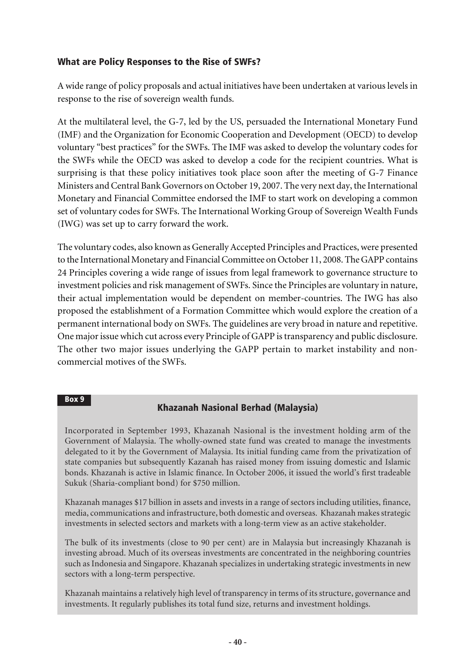### What are Policy Responses to the Rise of SWFs?

A wide range of policy proposals and actual initiatives have been undertaken at various levels in response to the rise of sovereign wealth funds.

At the multilateral level, the G-7, led by the US, persuaded the International Monetary Fund (IMF) and the Organization for Economic Cooperation and Development (OECD) to develop voluntary "best practices" for the SWFs. The IMF was asked to develop the voluntary codes for the SWFs while the OECD was asked to develop a code for the recipient countries. What is surprising is that these policy initiatives took place soon after the meeting of G-7 Finance Ministers and Central Bank Governors on October 19, 2007. The very next day, the International Monetary and Financial Committee endorsed the IMF to start work on developing a common set of voluntary codes for SWFs. The International Working Group of Sovereign Wealth Funds (IWG) was set up to carry forward the work.

The voluntary codes, also known as Generally Accepted Principles and Practices, were presented to the International Monetary and Financial Committee on October 11, 2008. The GAPP contains 24 Principles covering a wide range of issues from legal framework to governance structure to investment policies and risk management of SWFs. Since the Principles are voluntary in nature, their actual implementation would be dependent on member-countries. The IWG has also proposed the establishment of a Formation Committee which would explore the creation of a permanent international body on SWFs. The guidelines are very broad in nature and repetitive. One major issue which cut across every Principle of GAPP is transparency and public disclosure. The other two major issues underlying the GAPP pertain to market instability and noncommercial motives of the SWFs.

#### Box 9

### Khazanah Nasional Berhad (Malaysia)

Incorporated in September 1993, Khazanah Nasional is the investment holding arm of the Government of Malaysia. The wholly-owned state fund was created to manage the investments delegated to it by the Government of Malaysia. Its initial funding came from the privatization of state companies but subsequently Kazanah has raised money from issuing domestic and Islamic bonds. Khazanah is active in Islamic finance. In October 2006, it issued the world's first tradeable Sukuk (Sharia-compliant bond) for \$750 million.

Khazanah manages \$17 billion in assets and invests in a range of sectors including utilities, finance, media, communications and infrastructure, both domestic and overseas. Khazanah makes strategic investments in selected sectors and markets with a long-term view as an active stakeholder.

The bulk of its investments (close to 90 per cent) are in Malaysia but increasingly Khazanah is investing abroad. Much of its overseas investments are concentrated in the neighboring countries such as Indonesia and Singapore. Khazanah specializes in undertaking strategic investments in new sectors with a long-term perspective.

Khazanah maintains a relatively high level of transparency in terms of its structure, governance and investments. It regularly publishes its total fund size, returns and investment holdings.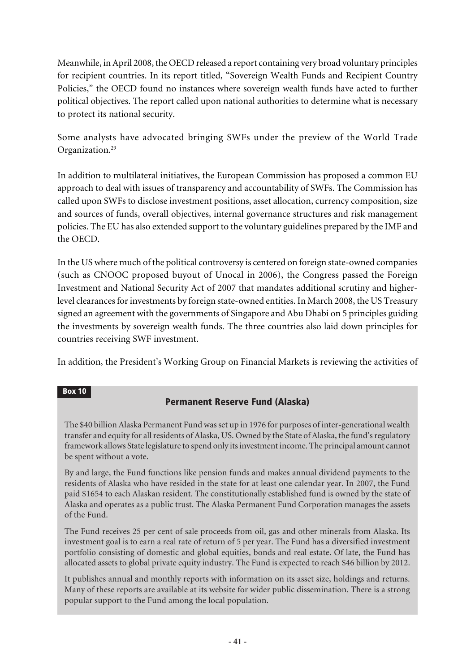Meanwhile, in April 2008, the OECD released a report containing very broad voluntary principles for recipient countries. In its report titled, "Sovereign Wealth Funds and Recipient Country Policies," the OECD found no instances where sovereign wealth funds have acted to further political objectives. The report called upon national authorities to determine what is necessary to protect its national security.

Some analysts have advocated bringing SWFs under the preview of the World Trade Organization.<sup>29</sup>

In addition to multilateral initiatives, the European Commission has proposed a common EU approach to deal with issues of transparency and accountability of SWFs. The Commission has called upon SWFs to disclose investment positions, asset allocation, currency composition, size and sources of funds, overall objectives, internal governance structures and risk management policies. The EU has also extended support to the voluntary guidelines prepared by the IMF and the OECD.

In the US where much of the political controversy is centered on foreign state-owned companies (such as CNOOC proposed buyout of Unocal in 2006), the Congress passed the Foreign Investment and National Security Act of 2007 that mandates additional scrutiny and higherlevel clearances for investments by foreign state-owned entities. In March 2008, the US Treasury signed an agreement with the governments of Singapore and Abu Dhabi on 5 principles guiding the investments by sovereign wealth funds. The three countries also laid down principles for countries receiving SWF investment.

In addition, the President's Working Group on Financial Markets is reviewing the activities of

#### Box 10

# Permanent Reserve Fund (Alaska)

The \$40 billion Alaska Permanent Fund was set up in 1976 for purposes of inter-generational wealth transfer and equity for all residents of Alaska, US. Owned by the State of Alaska, the fund's regulatory framework allows State legislature to spend only its investment income. The principal amount cannot be spent without a vote.

By and large, the Fund functions like pension funds and makes annual dividend payments to the residents of Alaska who have resided in the state for at least one calendar year. In 2007, the Fund paid \$1654 to each Alaskan resident. The constitutionally established fund is owned by the state of Alaska and operates as a public trust. The Alaska Permanent Fund Corporation manages the assets of the Fund.

The Fund receives 25 per cent of sale proceeds from oil, gas and other minerals from Alaska. Its investment goal is to earn a real rate of return of 5 per year. The Fund has a diversified investment portfolio consisting of domestic and global equities, bonds and real estate. Of late, the Fund has allocated assets to global private equity industry. The Fund is expected to reach \$46 billion by 2012.

It publishes annual and monthly reports with information on its asset size, holdings and returns. Many of these reports are available at its website for wider public dissemination. There is a strong popular support to the Fund among the local population.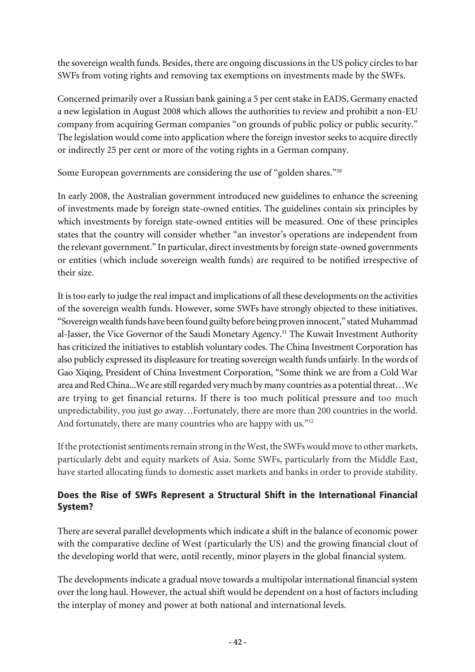the sovereign wealth funds. Besides, there are ongoing discussions in the US policy circles to bar SWFs from voting rights and removing tax exemptions on investments made by the SWFs.

Concerned primarily over a Russian bank gaining a 5 per cent stake in EADS, Germany enacted a new legislation in August 2008 which allows the authorities to review and prohibit a non-EU company from acquiring German companies "on grounds of public policy or public security." The legislation would come into application where the foreign investor seeks to acquire directly or indirectly 25 per cent or more of the voting rights in a German company.

Some European governments are considering the use of "golden shares."<sup>30</sup>

In early 2008, the Australian government introduced new guidelines to enhance the screening of investments made by foreign state-owned entities. The guidelines contain six principles by which investments by foreign state-owned entities will be measured. One of these principles states that the country will consider whether "an investor's operations are independent from the relevant government." In particular, direct investments by foreign state-owned governments or entities (which include sovereign wealth funds) are required to be notified irrespective of their size.

It is too early to judge the real impact and implications of all these developments on the activities of the sovereign wealth funds. However, some SWFs have strongly objected to these initiatives. "Sovereign wealth funds have been found guilty before being proven innocent," stated Muhammad al-Jasser, the Vice Governor of the Saudi Monetary Agency.<sup>31</sup> The Kuwait Investment Authority has criticized the initiatives to establish voluntary codes. The China Investment Corporation has also publicly expressed its displeasure for treating sovereign wealth funds unfairly. In the words of Gao Xiqing, President of China Investment Corporation, "Some think we are from a Cold War area and Red China...We are still regarded very much by many countries as a potential threat…We are trying to get financial returns. If there is too much political pressure and too much unpredictability, you just go away…Fortunately, there are more than 200 countries in the world. And fortunately, there are many countries who are happy with us."<sup>32</sup>

If the protectionist sentiments remain strong in the West, the SWFs would move to other markets, particularly debt and equity markets of Asia. Some SWFs, particularly from the Middle East, have started allocating funds to domestic asset markets and banks in order to provide stability.

# Does the Rise of SWFs Represent a Structural Shift in the International Financial System?

There are several parallel developments which indicate a shift in the balance of economic power with the comparative decline of West (particularly the US) and the growing financial clout of the developing world that were, until recently, minor players in the global financial system.

The developments indicate a gradual move towards a multipolar international financial system over the long haul. However, the actual shift would be dependent on a host of factors including the interplay of money and power at both national and international levels.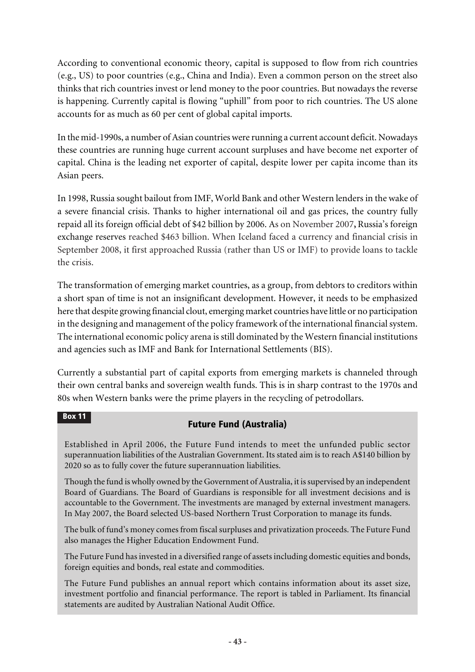According to conventional economic theory, capital is supposed to flow from rich countries (e.g., US) to poor countries (e.g., China and India). Even a common person on the street also thinks that rich countries invest or lend money to the poor countries. But nowadays the reverse is happening. Currently capital is flowing "uphill" from poor to rich countries. The US alone accounts for as much as 60 per cent of global capital imports.

In the mid-1990s, a number of Asian countries were running a current account deficit. Nowadays these countries are running huge current account surpluses and have become net exporter of capital. China is the leading net exporter of capital, despite lower per capita income than its Asian peers.

In 1998, Russia sought bailout from IMF, World Bank and other Western lenders in the wake of a severe financial crisis. Thanks to higher international oil and gas prices, the country fully repaid all its foreign official debt of \$42 billion by 2006. As on November 2007**,** Russia's foreign exchange reserves reached \$463 billion. When Iceland faced a currency and financial crisis in September 2008, it first approached Russia (rather than US or IMF) to provide loans to tackle the crisis.

The transformation of emerging market countries, as a group, from debtors to creditors within a short span of time is not an insignificant development. However, it needs to be emphasized here that despite growing financial clout, emerging market countries have little or no participation in the designing and management of the policy framework of the international financial system. The international economic policy arena is still dominated by the Western financial institutions and agencies such as IMF and Bank for International Settlements (BIS).

Currently a substantial part of capital exports from emerging markets is channeled through their own central banks and sovereign wealth funds. This is in sharp contrast to the 1970s and 80s when Western banks were the prime players in the recycling of petrodollars.

#### Box 11

# Future Fund (Australia)

Established in April 2006, the Future Fund intends to meet the unfunded public sector superannuation liabilities of the Australian Government. Its stated aim is to reach A\$140 billion by 2020 so as to fully cover the future superannuation liabilities.

Though the fund is wholly owned by the Government of Australia, it is supervised by an independent Board of Guardians. The Board of Guardians is responsible for all investment decisions and is accountable to the Government. The investments are managed by external investment managers. In May 2007, the Board selected US-based Northern Trust Corporation to manage its funds.

The bulk of fund's money comes from fiscal surpluses and privatization proceeds. The Future Fund also manages the Higher Education Endowment Fund.

The Future Fund has invested in a diversified range of assets including domestic equities and bonds, foreign equities and bonds, real estate and commodities.

The Future Fund publishes an annual report which contains information about its asset size, investment portfolio and financial performance. The report is tabled in Parliament. Its financial statements are audited by Australian National Audit Office.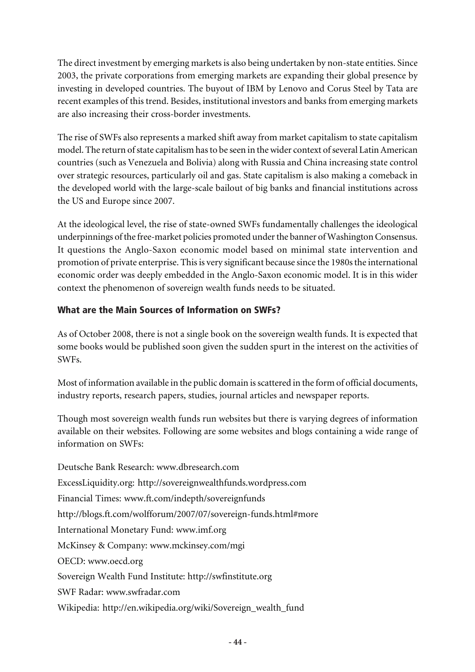The direct investment by emerging markets is also being undertaken by non-state entities. Since 2003, the private corporations from emerging markets are expanding their global presence by investing in developed countries. The buyout of IBM by Lenovo and Corus Steel by Tata are recent examples of this trend. Besides, institutional investors and banks from emerging markets are also increasing their cross-border investments.

The rise of SWFs also represents a marked shift away from market capitalism to state capitalism model. The return of state capitalism has to be seen in the wider context of several Latin American countries (such as Venezuela and Bolivia) along with Russia and China increasing state control over strategic resources, particularly oil and gas. State capitalism is also making a comeback in the developed world with the large-scale bailout of big banks and financial institutions across the US and Europe since 2007.

At the ideological level, the rise of state-owned SWFs fundamentally challenges the ideological underpinnings of the free-market policies promoted under the banner of Washington Consensus. It questions the Anglo-Saxon economic model based on minimal state intervention and promotion of private enterprise. This is very significant because since the 1980s the international economic order was deeply embedded in the Anglo-Saxon economic model. It is in this wider context the phenomenon of sovereign wealth funds needs to be situated.

### What are the Main Sources of Information on SWFs?

As of October 2008, there is not a single book on the sovereign wealth funds. It is expected that some books would be published soon given the sudden spurt in the interest on the activities of SWFs.

Most of information available in the public domain is scattered in the form of official documents, industry reports, research papers, studies, journal articles and newspaper reports.

Though most sovereign wealth funds run websites but there is varying degrees of information available on their websites. Following are some websites and blogs containing a wide range of information on SWFs:

Deutsche Bank Research: www.dbresearch.com ExcessLiquidity.org: http://sovereignwealthfunds.wordpress.com Financial Times: www.ft.com/indepth/sovereignfunds http://blogs.ft.com/wolfforum/2007/07/sovereign-funds.html#more International Monetary Fund: www.imf.org McKinsey & Company: www.mckinsey.com/mgi OECD: www.oecd.org Sovereign Wealth Fund Institute: http://swfinstitute.org SWF Radar: www.swfradar.com Wikipedia: http://en.wikipedia.org/wiki/Sovereign\_wealth\_fund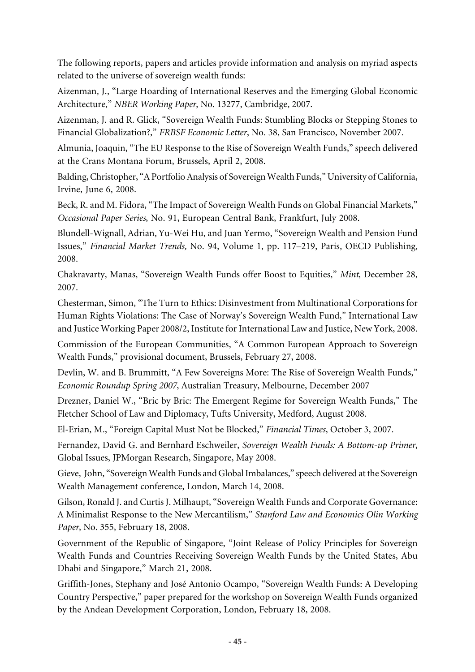The following reports, papers and articles provide information and analysis on myriad aspects related to the universe of sovereign wealth funds:

Aizenman, J., "Large Hoarding of International Reserves and the Emerging Global Economic Architecture," *NBER Working Paper*, No. 13277, Cambridge, 2007.

Aizenman, J. and R. Glick, "Sovereign Wealth Funds: Stumbling Blocks or Stepping Stones to Financial Globalization?," *FRBSF Economic Letter*, No. 38, San Francisco, November 2007.

Almunia, Joaquin, "The EU Response to the Rise of Sovereign Wealth Funds," speech delivered at the Crans Montana Forum, Brussels, April 2, 2008.

Balding, Christopher, "A Portfolio Analysis of Sovereign Wealth Funds," University of California, Irvine, June 6, 2008.

Beck, R. and M. Fidora, "The Impact of Sovereign Wealth Funds on Global Financial Markets," *Occasional Paper Series*, No. 91, European Central Bank, Frankfurt, July 2008.

Blundell-Wignall, Adrian, Yu-Wei Hu, and Juan Yermo, "Sovereign Wealth and Pension Fund Issues," *Financial Market Trends,* No. 94, Volume 1, pp. 117–219, Paris, OECD Publishing, 2008.

Chakravarty, Manas, "Sovereign Wealth Funds offer Boost to Equities," *Mint*, December 28, 2007.

Chesterman, Simon, "The Turn to Ethics: Disinvestment from Multinational Corporations for Human Rights Violations: The Case of Norway's Sovereign Wealth Fund," International Law and Justice Working Paper 2008/2, Institute for International Law and Justice, New York, 2008.

Commission of the European Communities, "A Common European Approach to Sovereign Wealth Funds," provisional document, Brussels, February 27, 2008.

Devlin, W. and B. Brummitt, "A Few Sovereigns More: The Rise of Sovereign Wealth Funds," *Economic Roundup Spring 2007*, Australian Treasury, Melbourne, December 2007

Drezner, Daniel W., "Bric by Bric: The Emergent Regime for Sovereign Wealth Funds," The Fletcher School of Law and Diplomacy, Tufts University, Medford, August 2008.

El-Erian, M., "Foreign Capital Must Not be Blocked," *Financial Times*, October 3, 2007.

Fernandez, David G. and Bernhard Eschweiler, *Sovereign Wealth Funds: A Bottom-up Primer*, Global Issues, JPMorgan Research, Singapore, May 2008.

Gieve, John, "Sovereign Wealth Funds and Global Imbalances," speech delivered at the Sovereign Wealth Management conference, London, March 14, 2008.

Gilson, Ronald J. and Curtis J. Milhaupt, "Sovereign Wealth Funds and Corporate Governance: A Minimalist Response to the New Mercantilism," *Stanford Law and Economics Olin Working Paper*, No. 355, February 18, 2008.

Government of the Republic of Singapore, "Joint Release of Policy Principles for Sovereign Wealth Funds and Countries Receiving Sovereign Wealth Funds by the United States, Abu Dhabi and Singapore," March 21, 2008.

Griffith-Jones, Stephany and José Antonio Ocampo, "Sovereign Wealth Funds: A Developing Country Perspective," paper prepared for the workshop on Sovereign Wealth Funds organized by the Andean Development Corporation, London, February 18, 2008.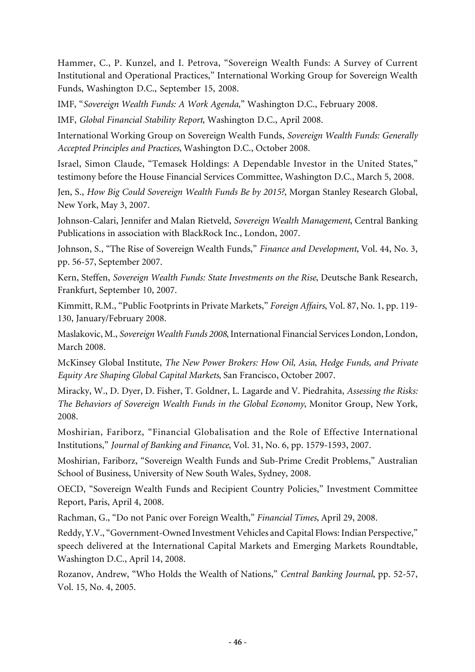Hammer, C., P. Kunzel, and I. Petrova, "Sovereign Wealth Funds: A Survey of Current Institutional and Operational Practices," International Working Group for Sovereign Wealth Funds, Washington D.C., September 15, 2008.

IMF, "*Sovereign Wealth Funds: A Work Agenda,*" Washington D.C., February 2008.

IMF, *Global Financial Stability Report*, Washington D.C., April 2008.

International Working Group on Sovereign Wealth Funds, *Sovereign Wealth Funds: Generally Accepted Principles and Practices*, Washington D.C., October 2008.

Israel, Simon Claude, "Temasek Holdings: A Dependable Investor in the United States," testimony before the House Financial Services Committee, Washington D.C., March 5, 2008.

Jen, S., *How Big Could Sovereign Wealth Funds Be by 2015?*, Morgan Stanley Research Global, New York, May 3, 2007.

Johnson-Calari, Jennifer and Malan Rietveld, *Sovereign Wealth Management*, Central Banking Publications in association with BlackRock Inc., London, 2007.

Johnson, S., "The Rise of Sovereign Wealth Funds," *Finance and Development*, Vol. 44, No. 3, pp. 56-57, September 2007.

Kern, Steffen, *Sovereign Wealth Funds: State Investments on the Rise*, Deutsche Bank Research, Frankfurt, September 10, 2007.

Kimmitt, R.M., "Public Footprints in Private Markets," *Foreign Affairs*, Vol. 87, No. 1, pp. 119- 130, January/February 2008.

Maslakovic, M., *Sovereign Wealth Funds 2008*, International Financial Services London, London, March 2008.

McKinsey Global Institute, *The New Power Brokers: How Oil, Asia, Hedge Funds, and Private Equity Are Shaping Global Capital Markets*, San Francisco, October 2007.

Miracky, W., D. Dyer, D. Fisher, T. Goldner, L. Lagarde and V. Piedrahita, *Assessing the Risks: The Behaviors of Sovereign Wealth Funds in the Global Economy*, Monitor Group, New York, 2008.

Moshirian, Fariborz, "Financial Globalisation and the Role of Effective International Institutions," *Journal of Banking and Finance*, Vol. 31, No. 6, pp. 1579-1593, 2007.

Moshirian, Fariborz, "Sovereign Wealth Funds and Sub-Prime Credit Problems," Australian School of Business, University of New South Wales, Sydney, 2008.

OECD, "Sovereign Wealth Funds and Recipient Country Policies," Investment Committee Report, Paris, April 4, 2008.

Rachman, G., "Do not Panic over Foreign Wealth," *Financial Times*, April 29, 2008.

Reddy, Y.V., "Government-Owned Investment Vehicles and Capital Flows: Indian Perspective," speech delivered at the International Capital Markets and Emerging Markets Roundtable, Washington D.C., April 14, 2008.

Rozanov, Andrew, "Who Holds the Wealth of Nations," *Central Banking Journal*, pp. 52-57, Vol. 15, No. 4, 2005.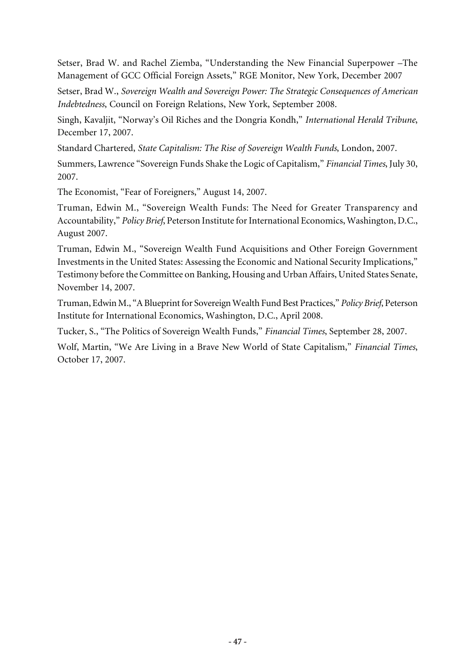Setser, Brad W. and Rachel Ziemba, "Understanding the New Financial Superpower –The Management of GCC Official Foreign Assets," RGE Monitor, New York, December 2007

Setser, Brad W., *Sovereign Wealth and Sovereign Power: The Strategic Consequences of American Indebtedness*, Council on Foreign Relations, New York, September 2008.

Singh, Kavaljit, "Norway's Oil Riches and the Dongria Kondh," *International Herald Tribune*, December 17, 2007.

Standard Chartered, *State Capitalism: The Rise of Sovereign Wealth Funds*, London, 2007.

Summers, Lawrence "Sovereign Funds Shake the Logic of Capitalism," *Financial Times*, July 30, 2007.

The Economist, "Fear of Foreigners," August 14, 2007.

Truman, Edwin M., "Sovereign Wealth Funds: The Need for Greater Transparency and Accountability," *Policy Brief*, Peterson Institute for International Economics, Washington, D.C., August 2007.

Truman, Edwin M., "Sovereign Wealth Fund Acquisitions and Other Foreign Government Investments in the United States: Assessing the Economic and National Security Implications," Testimony before the Committee on Banking, Housing and Urban Affairs, United States Senate, November 14, 2007.

Truman, Edwin M., "A Blueprint for Sovereign Wealth Fund Best Practices," *Policy Brief*, Peterson Institute for International Economics, Washington, D.C., April 2008.

Tucker, S., "The Politics of Sovereign Wealth Funds," *Financial Times*, September 28, 2007.

Wolf, Martin, "We Are Living in a Brave New World of State Capitalism," *Financial Times*, October 17, 2007.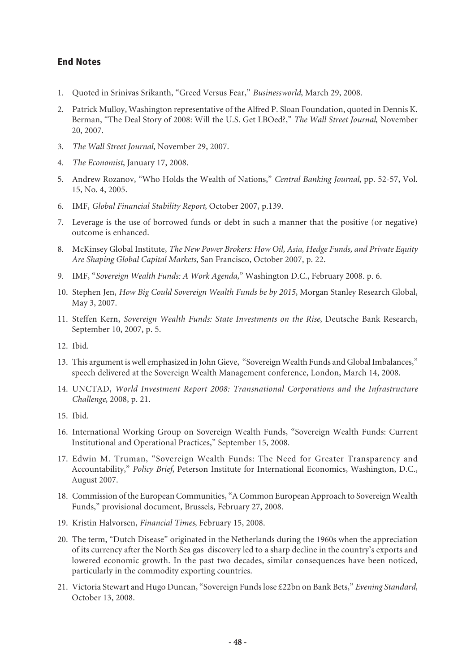### End Notes

- 1. Quoted in Srinivas Srikanth, "Greed Versus Fear," *Businessworld*, March 29, 2008.
- 2. Patrick Mulloy, Washington representative of the Alfred P. Sloan Foundation, quoted in Dennis K. Berman, "The Deal Story of 2008: Will the U.S. Get LBOed?," *The Wall Street Journal*, November 20, 2007.
- 3. *The Wall Street Journal*, November 29, 2007.
- 4. *The Economist*, January 17, 2008.
- 5. Andrew Rozanov, "Who Holds the Wealth of Nations," *Central Banking Journal*, pp. 52-57, Vol. 15, No. 4, 2005.
- 6. IMF, *Global Financial Stability Report*, October 2007, p.139.
- 7. Leverage is the use of borrowed funds or debt in such a manner that the positive (or negative) outcome is enhanced.
- 8. McKinsey Global Institute, *The New Power Brokers: How Oil, Asia, Hedge Funds, and Private Equity Are Shaping Global Capital Markets*, San Francisco, October 2007, p. 22.
- 9. IMF, "*Sovereign Wealth Funds: A Work Agenda,*" Washington D.C., February 2008. p. 6.
- 10. Stephen Jen, *How Big Could Sovereign Wealth Funds be by 2015*, Morgan Stanley Research Global, May 3, 2007.
- 11. Steffen Kern, *Sovereign Wealth Funds: State Investments on the Rise*, Deutsche Bank Research, September 10, 2007, p. 5.
- 12. Ibid.
- 13. This argument is well emphasized in John Gieve, "Sovereign Wealth Funds and Global Imbalances," speech delivered at the Sovereign Wealth Management conference, London, March 14, 2008.
- 14. UNCTAD, *World Investment Report 2008: Transnational Corporations and the Infrastructure Challenge*, 2008, p. 21.
- 15. Ibid.
- 16. International Working Group on Sovereign Wealth Funds, "Sovereign Wealth Funds: Current Institutional and Operational Practices," September 15, 2008.
- 17. Edwin M. Truman, "Sovereign Wealth Funds: The Need for Greater Transparency and Accountability," *Policy Brief*, Peterson Institute for International Economics, Washington, D.C., August 2007.
- 18. Commission of the European Communities, "A Common European Approach to Sovereign Wealth Funds," provisional document, Brussels, February 27, 2008.
- 19. Kristin Halvorsen, *Financial Times*, February 15, 2008.
- 20. The term, "Dutch Disease" originated in the Netherlands during the 1960s when the appreciation of its currency after the North Sea gas discovery led to a sharp decline in the country's exports and lowered economic growth. In the past two decades, similar consequences have been noticed, particularly in the commodity exporting countries.
- 21. Victoria Stewart and Hugo Duncan, "Sovereign Funds lose £22bn on Bank Bets," *Evening Standard,* October 13, 2008.